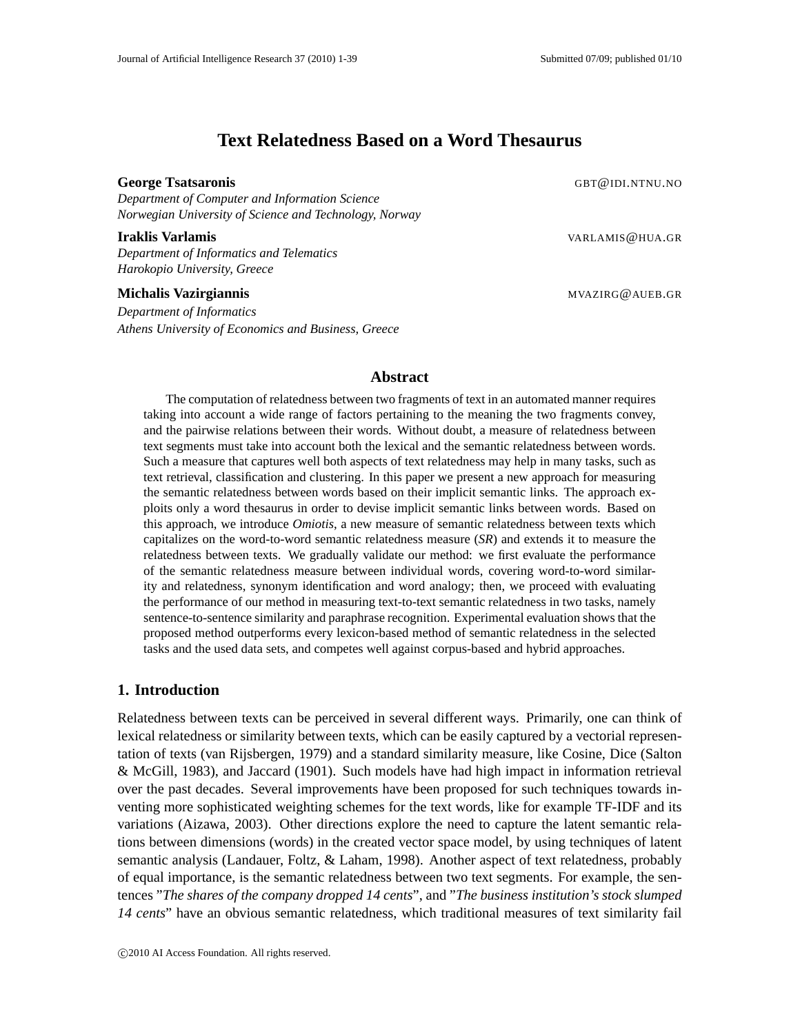# **Text Relatedness Based on a Word Thesaurus**

#### **George Tsatsaronis** George Tsatsaronis George Tsatsaronis George Tsatsaronis George Tsatsaronis George Tsatsaronis George Tsatsaronis George Tsatsaronis George Tsatsaronis George Tsatsaronis George Tsatsaronis George Tsat

*Department of Computer and Information Science Norwegian University of Science and Technology, Norway*

#### **Iraklis Varlamis** VARLAMIS@HUA.GR

*Department of Informatics and Telematics Harokopio University, Greece*

#### **Michalis Vazirgiannis** MVAZIRG@AUEB.GR

*Department of Informatics Athens University of Economics and Business, Greece*

### **Abstract**

The computation of relatedness between two fragments of text in an automated manner requires taking into account a wide range of factors pertaining to the meaning the two fragments convey, and the pairwise relations between their words. Without doubt, a measure of relatedness between text segments must take into account both the lexical and the semantic relatedness between words. Such a measure that captures well both aspects of text relatedness may help in many tasks, such as text retrieval, classification and clustering. In this paper we present a new approach for measuring the semantic relatedness between words based on their implicit semantic links. The approach exploits only a word thesaurus in order to devise implicit semantic links between words. Based on this approach, we introduce *Omiotis*, a new measure of semantic relatedness between texts which capitalizes on the word-to-word semantic relatedness measure (*SR*) and extends it to measure the relatedness between texts. We gradually validate our method: we first evaluate the performance of the semantic relatedness measure between individual words, covering word-to-word similarity and relatedness, synonym identification and word analogy; then, we proceed with evaluating the performance of our method in measuring text-to-text semantic relatedness in two tasks, namely sentence-to-sentence similarity and paraphrase recognition. Experimental evaluation shows that the proposed method outperforms every lexicon-based method of semantic relatedness in the selected tasks and the used data sets, and competes well against corpus-based and hybrid approaches.

## **1. Introduction**

Relatedness between texts can be perceived in several different ways. Primarily, one can think of lexical relatedness or similarity between texts, which can be easily captured by a vectorial representation of texts (van Rijsbergen, 1979) and a standard similarity measure, like Cosine, Dice (Salton & McGill, 1983), and Jaccard (1901). Such models have had high impact in information retrieval over the past decades. Several improvements have been proposed for such techniques towards inventing more sophisticated weighting schemes for the text words, like for example TF-IDF and its variations (Aizawa, 2003). Other directions explore the need to capture the latent semantic relations between dimensions (words) in the created vector space model, by using techniques of latent semantic analysis (Landauer, Foltz, & Laham, 1998). Another aspect of text relatedness, probably of equal importance, is the semantic relatedness between two text segments. For example, the sentences "*The shares of the company dropped 14 cents*", and "*The business institution's stock slumped 14 cents*" have an obvious semantic relatedness, which traditional measures of text similarity fail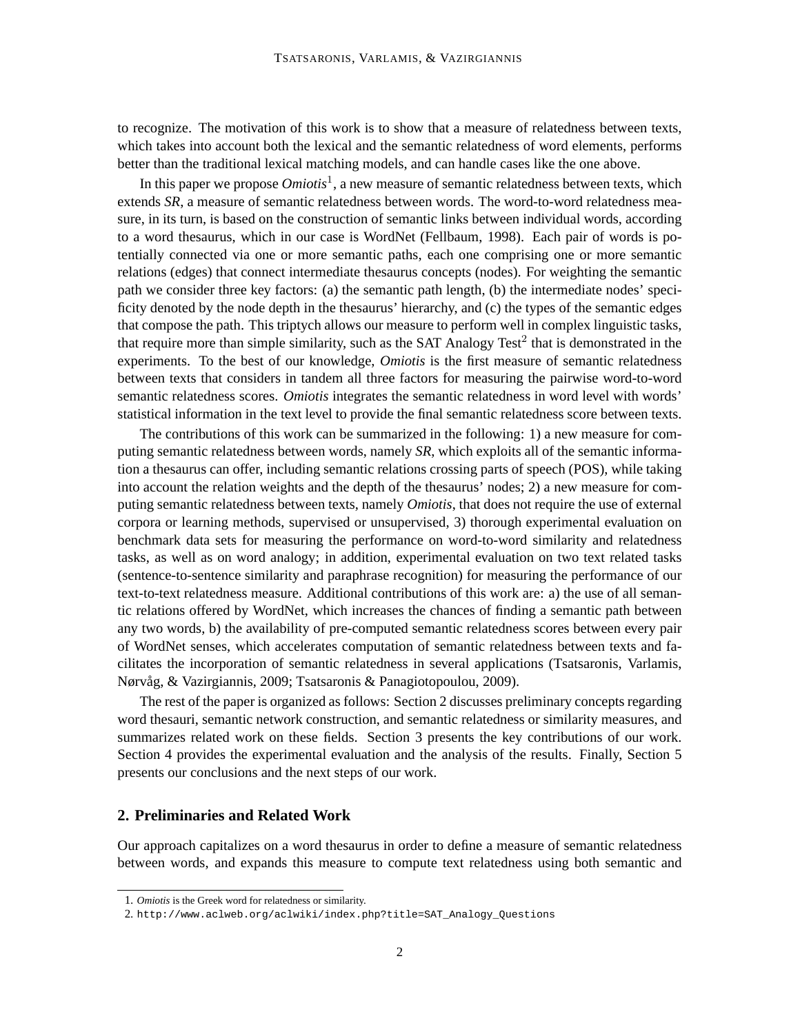to recognize. The motivation of this work is to show that a measure of relatedness between texts, which takes into account both the lexical and the semantic relatedness of word elements, performs better than the traditional lexical matching models, and can handle cases like the one above.

In this paper we propose  $Omiotis<sup>1</sup>$ , a new measure of semantic relatedness between texts, which extends *SR*, a measure of semantic relatedness between words. The word-to-word relatedness measure, in its turn, is based on the construction of semantic links between individual words, according to a word thesaurus, which in our case is WordNet (Fellbaum, 1998). Each pair of words is potentially connected via one or more semantic paths, each one comprising one or more semantic relations (edges) that connect intermediate thesaurus concepts (nodes). For weighting the semantic path we consider three key factors: (a) the semantic path length, (b) the intermediate nodes' specificity denoted by the node depth in the thesaurus' hierarchy, and (c) the types of the semantic edges that compose the path. This triptych allows our measure to perform well in complex linguistic tasks, that require more than simple similarity, such as the SAT Analogy Test<sup>2</sup> that is demonstrated in the experiments. To the best of our knowledge, *Omiotis* is the first measure of semantic relatedness between texts that considers in tandem all three factors for measuring the pairwise word-to-word semantic relatedness scores. *Omiotis* integrates the semantic relatedness in word level with words' statistical information in the text level to provide the final semantic relatedness score between texts.

The contributions of this work can be summarized in the following: 1) a new measure for computing semantic relatedness between words, namely *SR*, which exploits all of the semantic information a thesaurus can offer, including semantic relations crossing parts of speech (POS), while taking into account the relation weights and the depth of the thesaurus' nodes; 2) a new measure for computing semantic relatedness between texts, namely *Omiotis*, that does not require the use of external corpora or learning methods, supervised or unsupervised, 3) thorough experimental evaluation on benchmark data sets for measuring the performance on word-to-word similarity and relatedness tasks, as well as on word analogy; in addition, experimental evaluation on two text related tasks (sentence-to-sentence similarity and paraphrase recognition) for measuring the performance of our text-to-text relatedness measure. Additional contributions of this work are: a) the use of all semantic relations offered by WordNet, which increases the chances of finding a semantic path between any two words, b) the availability of pre-computed semantic relatedness scores between every pair of WordNet senses, which accelerates computation of semantic relatedness between texts and facilitates the incorporation of semantic relatedness in several applications (Tsatsaronis, Varlamis, Nørvåg, & Vazirgiannis, 2009; Tsatsaronis & Panagiotopoulou, 2009).

The rest of the paper is organized as follows: Section 2 discusses preliminary concepts regarding word thesauri, semantic network construction, and semantic relatedness or similarity measures, and summarizes related work on these fields. Section 3 presents the key contributions of our work. Section 4 provides the experimental evaluation and the analysis of the results. Finally, Section 5 presents our conclusions and the next steps of our work.

## **2. Preliminaries and Related Work**

Our approach capitalizes on a word thesaurus in order to define a measure of semantic relatedness between words, and expands this measure to compute text relatedness using both semantic and

<sup>1.</sup> *Omiotis* is the Greek word for relatedness or similarity.

<sup>2.</sup> http://www.aclweb.org/aclwiki/index.php?title=SAT\_Analogy\_Questions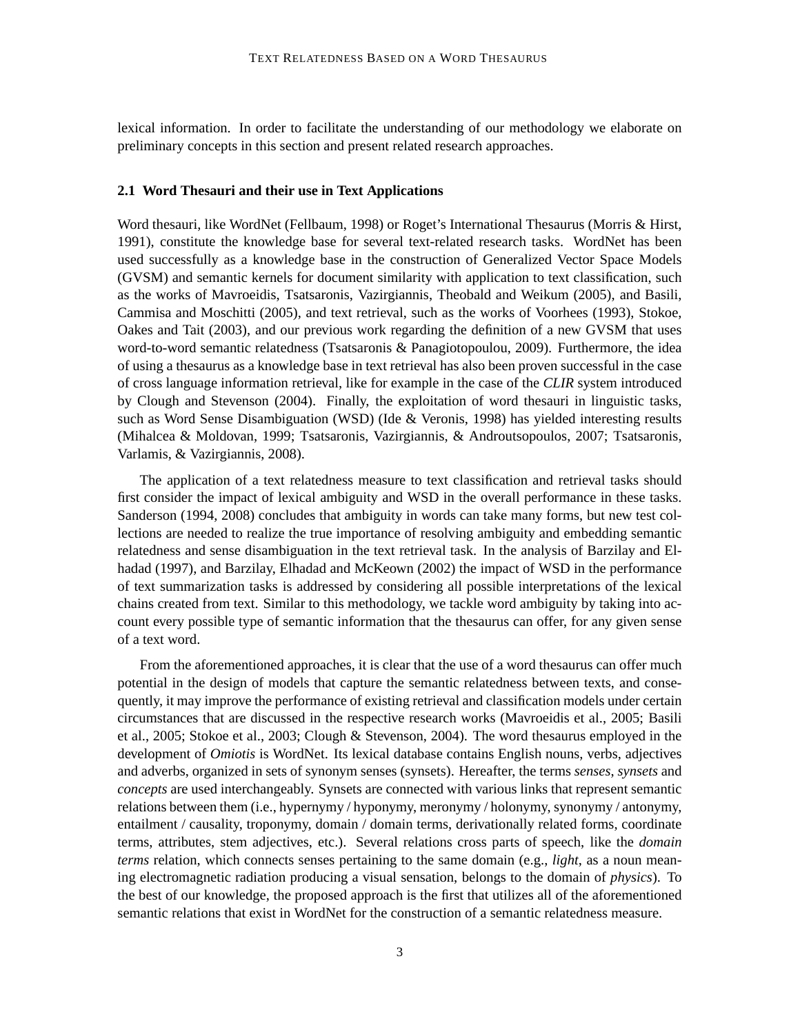lexical information. In order to facilitate the understanding of our methodology we elaborate on preliminary concepts in this section and present related research approaches.

#### **2.1 Word Thesauri and their use in Text Applications**

Word thesauri, like WordNet (Fellbaum, 1998) or Roget's International Thesaurus (Morris & Hirst, 1991), constitute the knowledge base for several text-related research tasks. WordNet has been used successfully as a knowledge base in the construction of Generalized Vector Space Models (GVSM) and semantic kernels for document similarity with application to text classification, such as the works of Mavroeidis, Tsatsaronis, Vazirgiannis, Theobald and Weikum (2005), and Basili, Cammisa and Moschitti (2005), and text retrieval, such as the works of Voorhees (1993), Stokoe, Oakes and Tait (2003), and our previous work regarding the definition of a new GVSM that uses word-to-word semantic relatedness (Tsatsaronis & Panagiotopoulou, 2009). Furthermore, the idea of using a thesaurus as a knowledge base in text retrieval has also been proven successful in the case of cross language information retrieval, like for example in the case of the *CLIR* system introduced by Clough and Stevenson (2004). Finally, the exploitation of word thesauri in linguistic tasks, such as Word Sense Disambiguation (WSD) (Ide & Veronis, 1998) has yielded interesting results (Mihalcea & Moldovan, 1999; Tsatsaronis, Vazirgiannis, & Androutsopoulos, 2007; Tsatsaronis, Varlamis, & Vazirgiannis, 2008).

The application of a text relatedness measure to text classification and retrieval tasks should first consider the impact of lexical ambiguity and WSD in the overall performance in these tasks. Sanderson (1994, 2008) concludes that ambiguity in words can take many forms, but new test collections are needed to realize the true importance of resolving ambiguity and embedding semantic relatedness and sense disambiguation in the text retrieval task. In the analysis of Barzilay and Elhadad (1997), and Barzilay, Elhadad and McKeown (2002) the impact of WSD in the performance of text summarization tasks is addressed by considering all possible interpretations of the lexical chains created from text. Similar to this methodology, we tackle word ambiguity by taking into account every possible type of semantic information that the thesaurus can offer, for any given sense of a text word.

From the aforementioned approaches, it is clear that the use of a word thesaurus can offer much potential in the design of models that capture the semantic relatedness between texts, and consequently, it may improve the performance of existing retrieval and classification models under certain circumstances that are discussed in the respective research works (Mavroeidis et al., 2005; Basili et al., 2005; Stokoe et al., 2003; Clough & Stevenson, 2004). The word thesaurus employed in the development of *Omiotis* is WordNet. Its lexical database contains English nouns, verbs, adjectives and adverbs, organized in sets of synonym senses (synsets). Hereafter, the terms *senses*, *synsets* and *concepts* are used interchangeably. Synsets are connected with various links that represent semantic relations between them (i.e., hypernymy / hyponymy, meronymy / holonymy, synonymy / antonymy, entailment / causality, troponymy, domain / domain terms, derivationally related forms, coordinate terms, attributes, stem adjectives, etc.). Several relations cross parts of speech, like the *domain terms* relation, which connects senses pertaining to the same domain (e.g., *light*, as a noun meaning electromagnetic radiation producing a visual sensation, belongs to the domain of *physics*). To the best of our knowledge, the proposed approach is the first that utilizes all of the aforementioned semantic relations that exist in WordNet for the construction of a semantic relatedness measure.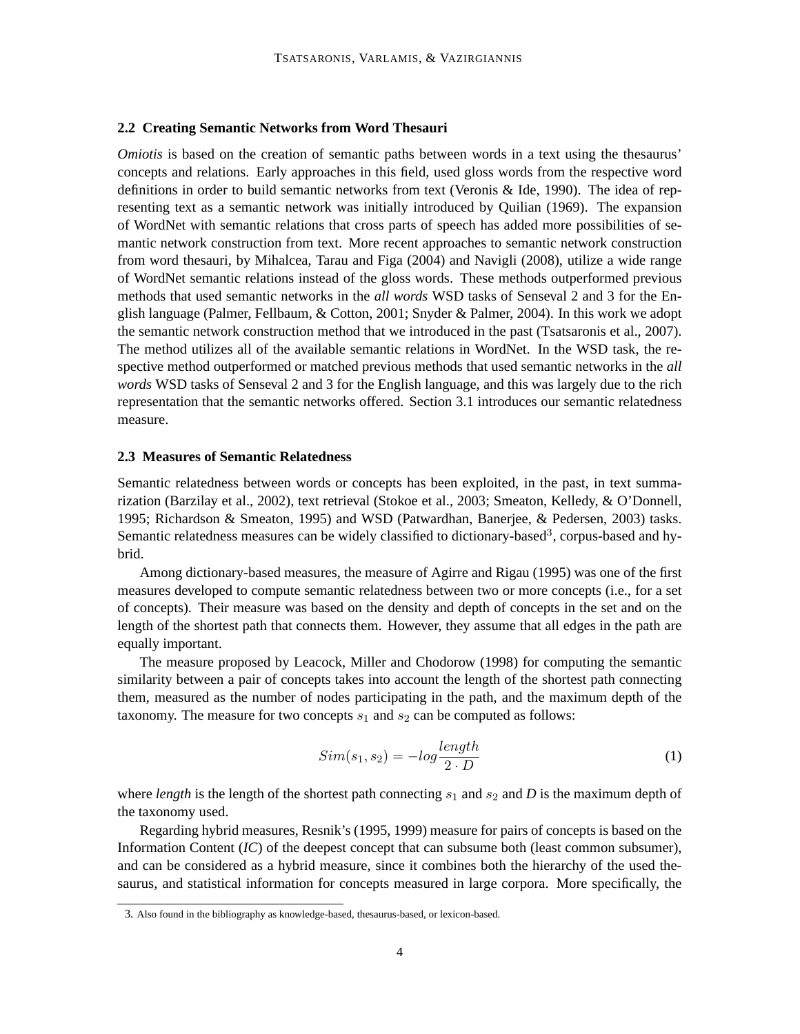### **2.2 Creating Semantic Networks from Word Thesauri**

*Omiotis* is based on the creation of semantic paths between words in a text using the thesaurus' concepts and relations. Early approaches in this field, used gloss words from the respective word definitions in order to build semantic networks from text (Veronis & Ide, 1990). The idea of representing text as a semantic network was initially introduced by Quilian (1969). The expansion of WordNet with semantic relations that cross parts of speech has added more possibilities of semantic network construction from text. More recent approaches to semantic network construction from word thesauri, by Mihalcea, Tarau and Figa (2004) and Navigli (2008), utilize a wide range of WordNet semantic relations instead of the gloss words. These methods outperformed previous methods that used semantic networks in the *all words* WSD tasks of Senseval 2 and 3 for the English language (Palmer, Fellbaum, & Cotton, 2001; Snyder & Palmer, 2004). In this work we adopt the semantic network construction method that we introduced in the past (Tsatsaronis et al., 2007). The method utilizes all of the available semantic relations in WordNet. In the WSD task, the respective method outperformed or matched previous methods that used semantic networks in the *all words* WSD tasks of Senseval 2 and 3 for the English language, and this was largely due to the rich representation that the semantic networks offered. Section 3.1 introduces our semantic relatedness measure.

#### **2.3 Measures of Semantic Relatedness**

Semantic relatedness between words or concepts has been exploited, in the past, in text summarization (Barzilay et al., 2002), text retrieval (Stokoe et al., 2003; Smeaton, Kelledy, & O'Donnell, 1995; Richardson & Smeaton, 1995) and WSD (Patwardhan, Banerjee, & Pedersen, 2003) tasks. Semantic relatedness measures can be widely classified to dictionary-based<sup>3</sup>, corpus-based and hybrid.

Among dictionary-based measures, the measure of Agirre and Rigau (1995) was one of the first measures developed to compute semantic relatedness between two or more concepts (i.e., for a set of concepts). Their measure was based on the density and depth of concepts in the set and on the length of the shortest path that connects them. However, they assume that all edges in the path are equally important.

The measure proposed by Leacock, Miller and Chodorow (1998) for computing the semantic similarity between a pair of concepts takes into account the length of the shortest path connecting them, measured as the number of nodes participating in the path, and the maximum depth of the taxonomy. The measure for two concepts  $s_1$  and  $s_2$  can be computed as follows:

$$
Sim(s_1, s_2) = -log \frac{length}{2 \cdot D} \tag{1}
$$

where *length* is the length of the shortest path connecting  $s_1$  and  $s_2$  and *D* is the maximum depth of the taxonomy used.

Regarding hybrid measures, Resnik's (1995, 1999) measure for pairs of concepts is based on the Information Content (*IC*) of the deepest concept that can subsume both (least common subsumer), and can be considered as a hybrid measure, since it combines both the hierarchy of the used thesaurus, and statistical information for concepts measured in large corpora. More specifically, the

<sup>3.</sup> Also found in the bibliography as knowledge-based, thesaurus-based, or lexicon-based.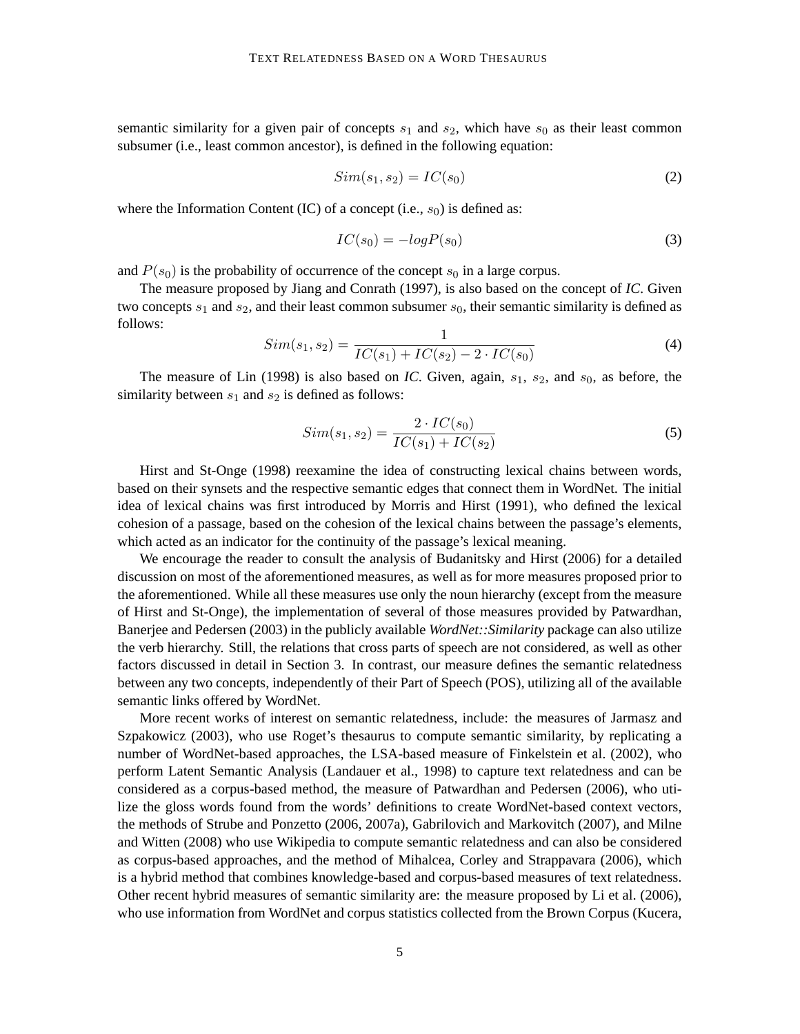semantic similarity for a given pair of concepts  $s_1$  and  $s_2$ , which have  $s_0$  as their least common subsumer (i.e., least common ancestor), is defined in the following equation:

$$
Sim(s_1, s_2) = IC(s_0)
$$
\n
$$
(2)
$$

where the Information Content (IC) of a concept (i.e.,  $s_0$ ) is defined as:

$$
IC(s_0) = -logP(s_0)
$$
\n(3)

and  $P(s_0)$  is the probability of occurrence of the concept  $s_0$  in a large corpus.

The measure proposed by Jiang and Conrath (1997), is also based on the concept of *IC*. Given two concepts  $s_1$  and  $s_2$ , and their least common subsumer  $s_0$ , their semantic similarity is defined as follows:

$$
Sim(s_1, s_2) = \frac{1}{IC(s_1) + IC(s_2) - 2 \cdot IC(s_0)}
$$
\n(4)

The measure of Lin (1998) is also based on *IC*. Given, again,  $s_1$ ,  $s_2$ , and  $s_0$ , as before, the similarity between  $s_1$  and  $s_2$  is defined as follows:

$$
Sim(s_1, s_2) = \frac{2 \cdot IC(s_0)}{IC(s_1) + IC(s_2)}\tag{5}
$$

Hirst and St-Onge (1998) reexamine the idea of constructing lexical chains between words, based on their synsets and the respective semantic edges that connect them in WordNet. The initial idea of lexical chains was first introduced by Morris and Hirst (1991), who defined the lexical cohesion of a passage, based on the cohesion of the lexical chains between the passage's elements, which acted as an indicator for the continuity of the passage's lexical meaning.

We encourage the reader to consult the analysis of Budanitsky and Hirst (2006) for a detailed discussion on most of the aforementioned measures, as well as for more measures proposed prior to the aforementioned. While all these measures use only the noun hierarchy (except from the measure of Hirst and St-Onge), the implementation of several of those measures provided by Patwardhan, Banerjee and Pedersen (2003) in the publicly available *WordNet::Similarity* package can also utilize the verb hierarchy. Still, the relations that cross parts of speech are not considered, as well as other factors discussed in detail in Section 3. In contrast, our measure defines the semantic relatedness between any two concepts, independently of their Part of Speech (POS), utilizing all of the available semantic links offered by WordNet.

More recent works of interest on semantic relatedness, include: the measures of Jarmasz and Szpakowicz (2003), who use Roget's thesaurus to compute semantic similarity, by replicating a number of WordNet-based approaches, the LSA-based measure of Finkelstein et al. (2002), who perform Latent Semantic Analysis (Landauer et al., 1998) to capture text relatedness and can be considered as a corpus-based method, the measure of Patwardhan and Pedersen (2006), who utilize the gloss words found from the words' definitions to create WordNet-based context vectors, the methods of Strube and Ponzetto (2006, 2007a), Gabrilovich and Markovitch (2007), and Milne and Witten (2008) who use Wikipedia to compute semantic relatedness and can also be considered as corpus-based approaches, and the method of Mihalcea, Corley and Strappavara (2006), which is a hybrid method that combines knowledge-based and corpus-based measures of text relatedness. Other recent hybrid measures of semantic similarity are: the measure proposed by Li et al. (2006), who use information from WordNet and corpus statistics collected from the Brown Corpus (Kucera,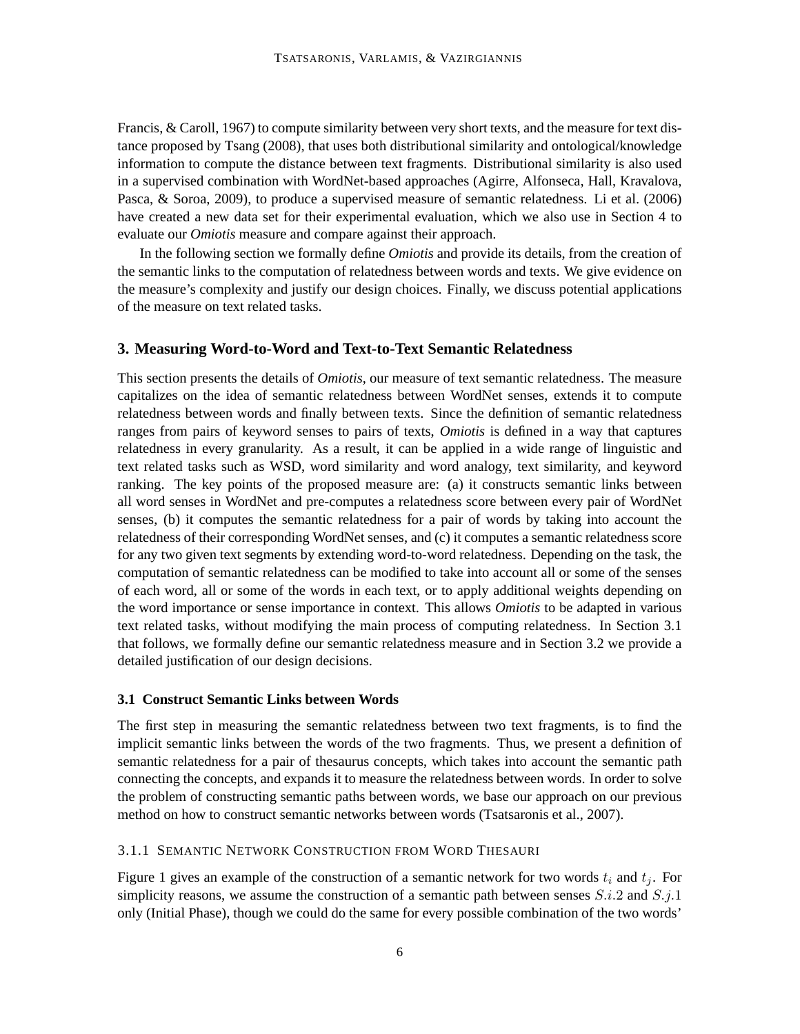Francis, & Caroll, 1967) to compute similarity between very short texts, and the measure for text distance proposed by Tsang (2008), that uses both distributional similarity and ontological/knowledge information to compute the distance between text fragments. Distributional similarity is also used in a supervised combination with WordNet-based approaches (Agirre, Alfonseca, Hall, Kravalova, Pasca, & Soroa, 2009), to produce a supervised measure of semantic relatedness. Li et al. (2006) have created a new data set for their experimental evaluation, which we also use in Section 4 to evaluate our *Omiotis* measure and compare against their approach.

In the following section we formally define *Omiotis* and provide its details, from the creation of the semantic links to the computation of relatedness between words and texts. We give evidence on the measure's complexity and justify our design choices. Finally, we discuss potential applications of the measure on text related tasks.

#### **3. Measuring Word-to-Word and Text-to-Text Semantic Relatedness**

This section presents the details of *Omiotis*, our measure of text semantic relatedness. The measure capitalizes on the idea of semantic relatedness between WordNet senses, extends it to compute relatedness between words and finally between texts. Since the definition of semantic relatedness ranges from pairs of keyword senses to pairs of texts, *Omiotis* is defined in a way that captures relatedness in every granularity. As a result, it can be applied in a wide range of linguistic and text related tasks such as WSD, word similarity and word analogy, text similarity, and keyword ranking. The key points of the proposed measure are: (a) it constructs semantic links between all word senses in WordNet and pre-computes a relatedness score between every pair of WordNet senses, (b) it computes the semantic relatedness for a pair of words by taking into account the relatedness of their corresponding WordNet senses, and (c) it computes a semantic relatedness score for any two given text segments by extending word-to-word relatedness. Depending on the task, the computation of semantic relatedness can be modified to take into account all or some of the senses of each word, all or some of the words in each text, or to apply additional weights depending on the word importance or sense importance in context. This allows *Omiotis* to be adapted in various text related tasks, without modifying the main process of computing relatedness. In Section 3.1 that follows, we formally define our semantic relatedness measure and in Section 3.2 we provide a detailed justification of our design decisions.

#### **3.1 Construct Semantic Links between Words**

The first step in measuring the semantic relatedness between two text fragments, is to find the implicit semantic links between the words of the two fragments. Thus, we present a definition of semantic relatedness for a pair of thesaurus concepts, which takes into account the semantic path connecting the concepts, and expands it to measure the relatedness between words. In order to solve the problem of constructing semantic paths between words, we base our approach on our previous method on how to construct semantic networks between words (Tsatsaronis et al., 2007).

## 3.1.1 SEMANTIC NETWORK CONSTRUCTION FROM WORD THESAURI

Figure 1 gives an example of the construction of a semantic network for two words  $t_i$  and  $t_j$ . For simplicity reasons, we assume the construction of a semantic path between senses  $S.i.2$  and  $S.j.1$ only (Initial Phase), though we could do the same for every possible combination of the two words'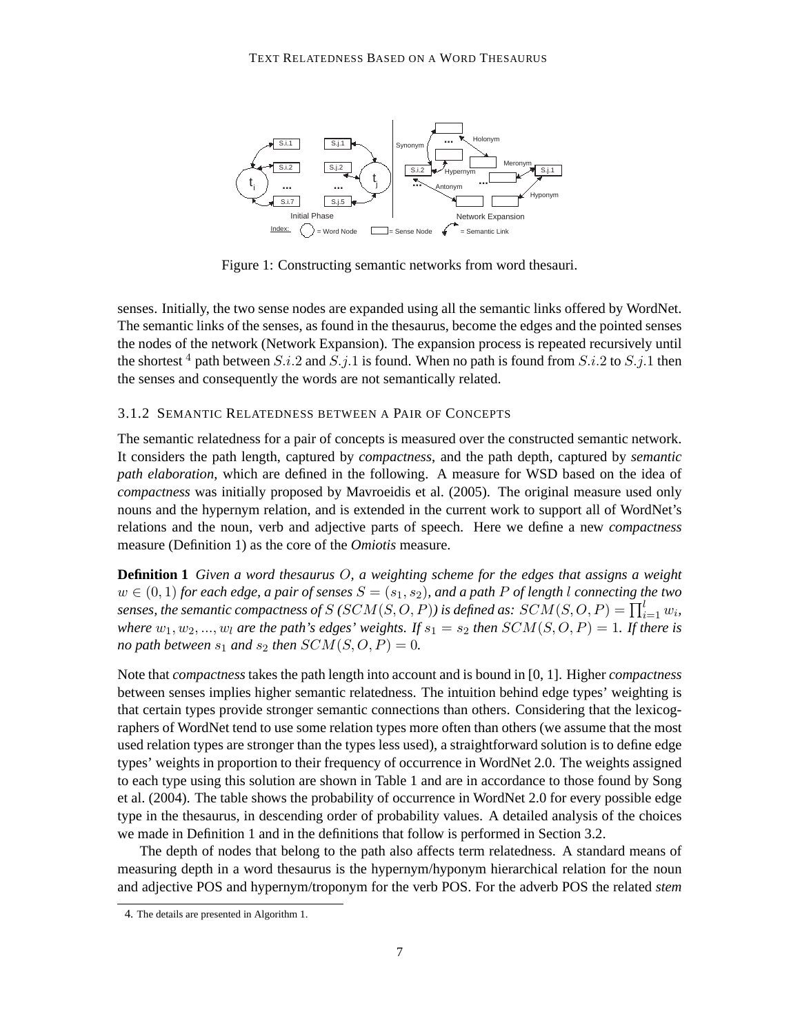

Figure 1: Constructing semantic networks from word thesauri.

senses. Initially, the two sense nodes are expanded using all the semantic links offered by WordNet. The semantic links of the senses, as found in the thesaurus, become the edges and the pointed senses the nodes of the network (Network Expansion). The expansion process is repeated recursively until the shortest <sup>4</sup> path between S.i.2 and S.j.1 is found. When no path is found from S.i.2 to S.j.1 then the senses and consequently the words are not semantically related.

#### 3.1.2 SEMANTIC RELATEDNESS BETWEEN A PAIR OF CONCEPTS

The semantic relatedness for a pair of concepts is measured over the constructed semantic network. It considers the path length, captured by *compactness*, and the path depth, captured by *semantic path elaboration*, which are defined in the following. A measure for WSD based on the idea of *compactness* was initially proposed by Mavroeidis et al. (2005). The original measure used only nouns and the hypernym relation, and is extended in the current work to support all of WordNet's relations and the noun, verb and adjective parts of speech. Here we define a new *compactness* measure (Definition 1) as the core of the *Omiotis* measure.

**Definition 1** *Given a word thesaurus* O*, a weighting scheme for the edges that assigns a weight*  $w \in (0, 1)$  *for each edge, a pair of senses*  $S = (s_1, s_2)$ *, and a path* P *of length* l *connecting the two* senses, the semantic compactness of  $S$  (  $SCM(S, O, P)$  ) is defined as:  $SCM(S, O, P) = \prod_{i=1}^{l} w_i$ , *where*  $w_1, w_2, ..., w_l$  *are the path's edges' weights. If*  $s_1 = s_2$  *then*  $SCM(S, O, P) = 1$ *. If there is no path between*  $s_1$  *and*  $s_2$  *then*  $SCM(S, O, P) = 0$ *.* 

Note that *compactness* takes the path length into account and is bound in [0, 1]. Higher *compactness* between senses implies higher semantic relatedness. The intuition behind edge types' weighting is that certain types provide stronger semantic connections than others. Considering that the lexicographers of WordNet tend to use some relation types more often than others (we assume that the most used relation types are stronger than the types less used), a straightforward solution is to define edge types' weights in proportion to their frequency of occurrence in WordNet 2.0. The weights assigned to each type using this solution are shown in Table 1 and are in accordance to those found by Song et al. (2004). The table shows the probability of occurrence in WordNet 2.0 for every possible edge type in the thesaurus, in descending order of probability values. A detailed analysis of the choices we made in Definition 1 and in the definitions that follow is performed in Section 3.2.

The depth of nodes that belong to the path also affects term relatedness. A standard means of measuring depth in a word thesaurus is the hypernym/hyponym hierarchical relation for the noun and adjective POS and hypernym/troponym for the verb POS. For the adverb POS the related *stem*

<sup>4.</sup> The details are presented in Algorithm 1.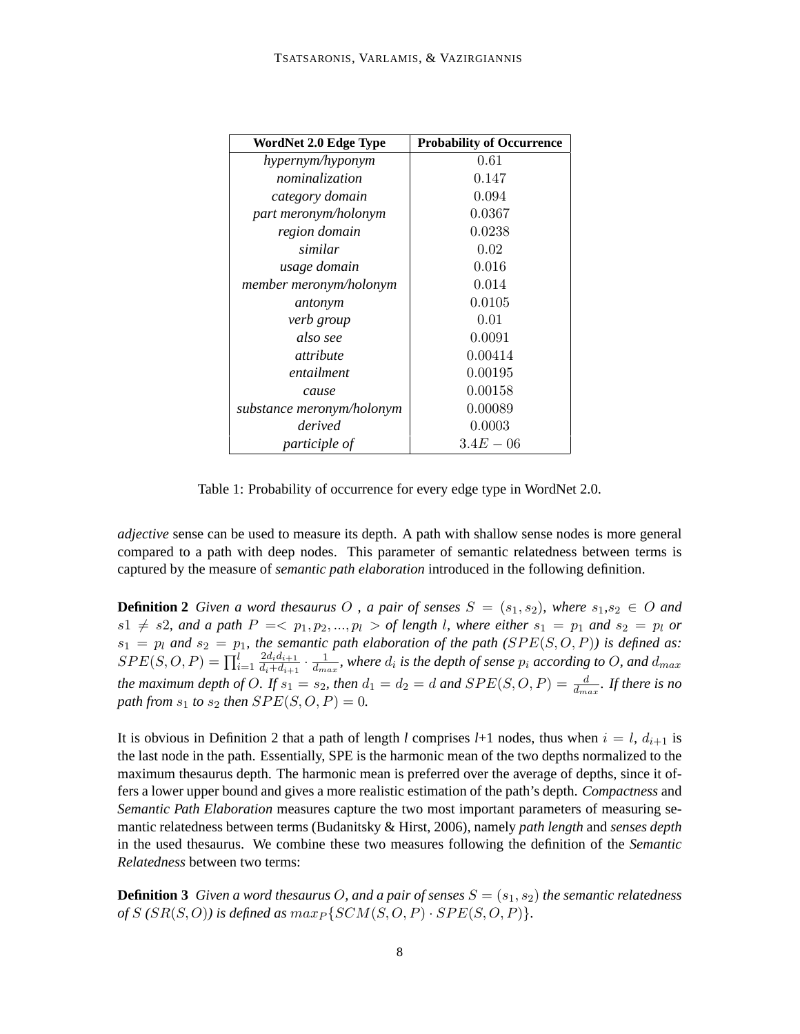| WordNet 2.0 Edge Type     | <b>Probability of Occurrence</b> |
|---------------------------|----------------------------------|
| hypernym/hyponym          | 0.61                             |
| nominalization            | 0.147                            |
| category domain           | 0.094                            |
| part meronym/holonym      | 0.0367                           |
| region domain             | 0.0238                           |
| similar                   | 0.02                             |
| usage domain              | 0.016                            |
| member meronym/holonym    | 0.014                            |
| antonym                   | 0.0105                           |
| verb group                | 0.01                             |
| also see                  | 0.0091                           |
| attribute                 | 0.00414                          |
| entailment                | 0.00195                          |
| cause                     | 0.00158                          |
| substance meronym/holonym | 0.00089                          |
| derived                   | 0.0003                           |
| participle of             | $3.4E - 06$                      |

Table 1: Probability of occurrence for every edge type in WordNet 2.0.

*adjective* sense can be used to measure its depth. A path with shallow sense nodes is more general compared to a path with deep nodes. This parameter of semantic relatedness between terms is captured by the measure of *semantic path elaboration* introduced in the following definition.

**Definition 2** *Given a word thesaurus* O, a pair of senses  $S = (s_1, s_2)$ , where  $s_1, s_2 \in O$  and  $s1 \neq s2$ , and a path  $P = \langle p_1, p_2, ..., p_l \rangle$  of length l, where either  $s_1 = p_1$  and  $s_2 = p_l$  or  $s_1 = p_l$  and  $s_2 = p_l$ , the semantic path elaboration of the path  $(SPE(S, O, P))$  is defined as:  $SPE(S, O, P) = \prod_{i=1}^{l}$  $2d_id_{i+1}$  $\frac{2d_id_{i+1}}{d_i+d_{i+1}} \cdot \frac{1}{d_{max}}$ , where  $d_i$  is the depth of sense  $p_i$  according to O, and  $d_{max}$ the maximum depth of O. If  $s_1 = s_2$ , then  $d_1 = d_2 = d$  and  $SPE(S, O, P) = \frac{d}{d_{max}}$ . If there is no *path from*  $s_1$  *to*  $s_2$  *then*  $SPE(S, O, P) = 0$ *.* 

It is obvious in Definition 2 that a path of length *l* comprises  $l+1$  nodes, thus when  $i = l$ ,  $d_{i+1}$  is the last node in the path. Essentially, SPE is the harmonic mean of the two depths normalized to the maximum thesaurus depth. The harmonic mean is preferred over the average of depths, since it offers a lower upper bound and gives a more realistic estimation of the path's depth. *Compactness* and *Semantic Path Elaboration* measures capture the two most important parameters of measuring semantic relatedness between terms (Budanitsky & Hirst, 2006), namely *path length* and *senses depth* in the used thesaurus. We combine these two measures following the definition of the *Semantic Relatedness* between two terms:

**Definition 3** *Given a word thesaurus O, and a pair of senses*  $S = (s_1, s_2)$  *the semantic relatedness of*  $S(SR(S, O))$  is defined as  $max_{P} \{SCM(S, O, P) \cdot SPE(S, O, P)\}.$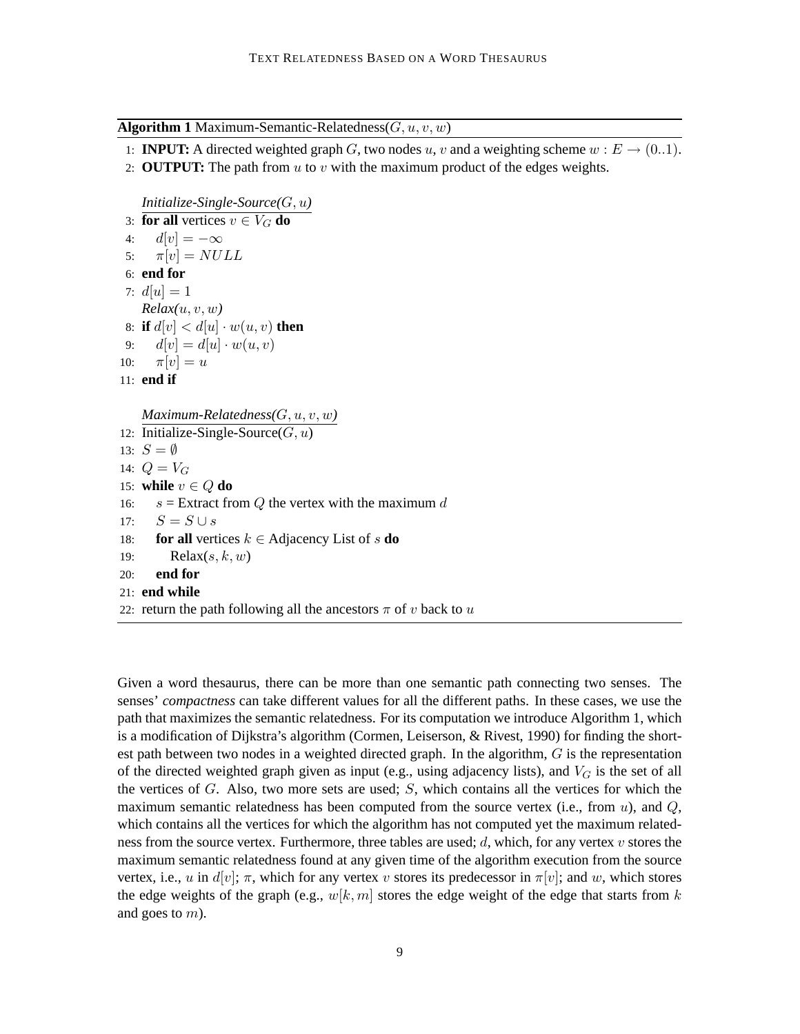**Algorithm 1** Maximum-Semantic-Relatedness $(G, u, v, w)$ 

- 1: **INPUT:** A directed weighted graph G, two nodes u, v and a weighting scheme  $w : E \to (0..1)$ .
- 2: **OUTPUT:** The path from  $u$  to  $v$  with the maximum product of the edges weights.

```
Initialize-Single-Source(G, u)
```

```
3: for all vertices v \in V_G do
 4: d[v] = -\infty5: \pi[v] = NULL6: end for
7: d[u] = 1Relax(u, v, w)8: if d[v] < d[u] \cdot w(u, v) then
9: d[v] = d[u] \cdot w(u, v)10: \pi[v] = u11: end if
   Maximum-Relatedness(G, u, v, w)
12: Initialize-Single-Source(G, u)13: S = \emptyset14: Q = V_G15: while v \in Q do
16: s = Extract from Q the vertex with the maximum d17: S = S \cup s18: for all vertices k \in Adjacency List of s do
19: Relax(s, k, w)20: end for
21: end while
22: return the path following all the ancestors \pi of v back to u
```
Given a word thesaurus, there can be more than one semantic path connecting two senses. The senses' *compactness* can take different values for all the different paths. In these cases, we use the path that maximizes the semantic relatedness. For its computation we introduce Algorithm 1, which is a modification of Dijkstra's algorithm (Cormen, Leiserson, & Rivest, 1990) for finding the shortest path between two nodes in a weighted directed graph. In the algorithm,  $G$  is the representation of the directed weighted graph given as input (e.g., using adjacency lists), and  $V_G$  is the set of all the vertices of  $G$ . Also, two more sets are used;  $S$ , which contains all the vertices for which the maximum semantic relatedness has been computed from the source vertex (i.e., from  $u$ ), and  $Q$ , which contains all the vertices for which the algorithm has not computed yet the maximum relatedness from the source vertex. Furthermore, three tables are used;  $d$ , which, for any vertex  $v$  stores the maximum semantic relatedness found at any given time of the algorithm execution from the source vertex, i.e., u in  $d[v]$ ;  $\pi$ , which for any vertex v stores its predecessor in  $\pi[v]$ ; and w, which stores the edge weights of the graph (e.g.,  $w[k, m]$  stores the edge weight of the edge that starts from k and goes to m).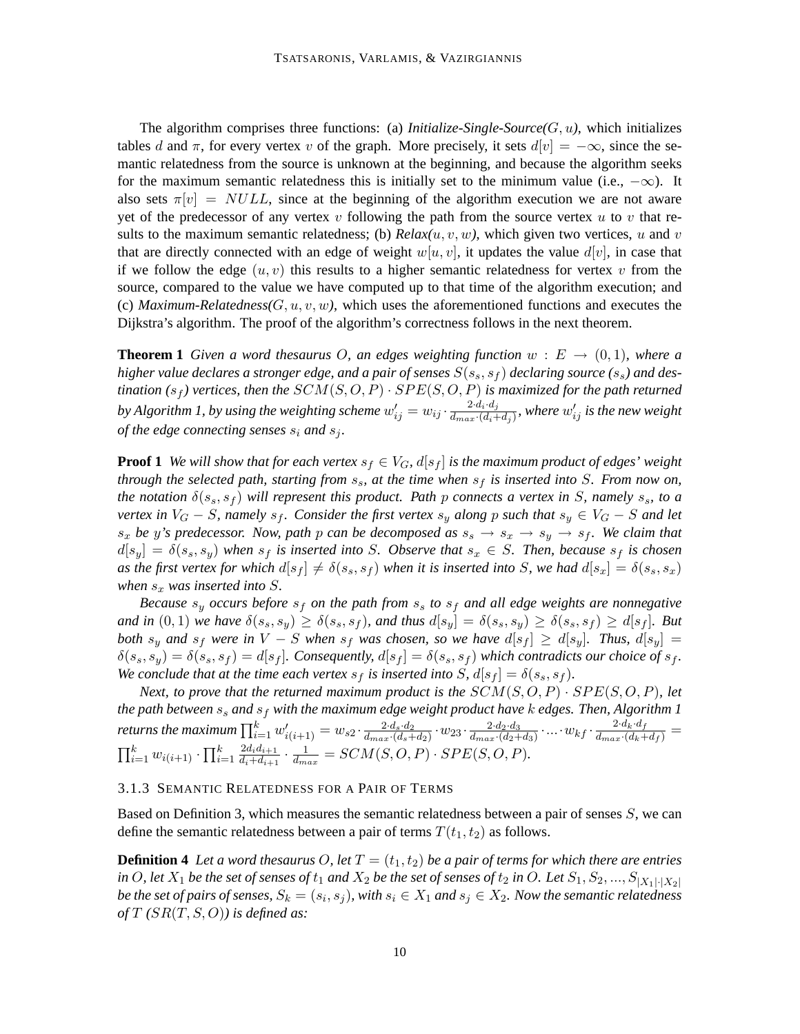The algorithm comprises three functions: (a) *Initialize-Single-Source*( $G, u$ ), which initializes tables d and  $\pi$ , for every vertex v of the graph. More precisely, it sets  $d[v] = -\infty$ , since the semantic relatedness from the source is unknown at the beginning, and because the algorithm seeks for the maximum semantic relatedness this is initially set to the minimum value (i.e.,  $-\infty$ ). It also sets  $\pi[v] = NULL$ , since at the beginning of the algorithm execution we are not aware yet of the predecessor of any vertex v following the path from the source vertex u to v that results to the maximum semantic relatedness; (b)  $Relax(u, v, w)$ , which given two vertices, u and v that are directly connected with an edge of weight  $w[u, v]$ , it updates the value  $d[v]$ , in case that if we follow the edge  $(u, v)$  this results to a higher semantic relatedness for vertex v from the source, compared to the value we have computed up to that time of the algorithm execution; and (c) *Maximum-Relatedness(G, u, v, w)*, which uses the aforementioned functions and executes the Dijkstra's algorithm. The proof of the algorithm's correctness follows in the next theorem.

**Theorem 1** *Given a word thesaurus O, an edges weighting function*  $w : E \to (0,1)$ *, where a higher value declares a stronger edge, and a pair of senses*  $S(s_s, s_f)$  *declaring source*  $(s_s)$  *and destination* ( $s_f$ ) vertices, then the  $SCM(S, O, P) \cdot SPE(S, O, P)$  is maximized for the path returned by Algorithm 1, by using the weighting scheme  $w'_{ij} = w_{ij} \cdot \frac{2 \cdot d_i \cdot d_j}{d_{max} \cdot (d_i + 1)}$  $\frac{2 \cdot d_i \cdot d_j}{d_{max} \cdot (d_i+d_j)},$  where  $w'_{ij}$  is the new weight *of the edge connecting senses*  $s_i$  *and*  $s_j$ *.* 

**Proof 1** We will show that for each vertex  $s_f \in V_G$ ,  $d[s_f]$  is the maximum product of edges' weight *through the selected path, starting from*  $s_s$ , at the time when  $s_f$  is inserted into S. From now on, *the notation*  $\delta(s_s, s_f)$  *will represent this product. Path p connects a vertex in* S, namely  $s_s$ , to a *vertex in*  $V_G - S$ , namely  $s_f$ . Consider the first vertex  $s_y$  along p such that  $s_y \in V_G - S$  and let  $s_x$  *be* y's predecessor. Now, path p can be decomposed as  $s_s \rightarrow s_x \rightarrow s_y \rightarrow s_f$ . We claim that  $d[s_y] = \delta(s_s, s_y)$  when  $s_f$  is inserted into S. Observe that  $s_x \in S$ . Then, because  $s_f$  is chosen *as the first vertex for which*  $d[s_f] \neq \delta(s_s, s_f)$  *when it is inserted into* S, we had  $d[s_x] = \delta(s_s, s_x)$ *when*  $s_x$  *was inserted into S.* 

*Because*  $s_y$  *occurs before*  $s_f$  *on the path from*  $s_s$  *to*  $s_f$  *and all edge weights are nonnegative and in*  $(0, 1)$  *we have*  $\delta(s_s, s_y) \geq \delta(s_s, s_f)$ *, and thus*  $d[s_y] = \delta(s_s, s_y) \geq \delta(s_s, s_f) \geq d[s_f]$ *. But both*  $s_y$  *and*  $s_f$  *were in*  $V - S$  *when*  $s_f$  *was chosen, so we have*  $d[s_f] \geq d[s_y]$ *. Thus,*  $d[s_y] =$  $\delta(s_s, s_y) = \delta(s_s, s_f) = d[s_f]$ . Consequently,  $d[s_f] = \delta(s_s, s_f)$  which contradicts our choice of  $s_f$ . *We conclude that at the time each vertex*  $s_f$  *is inserted into*  $S$ *,*  $d[s_f] = \delta(s_s, s_f)$ *.* 

*Next, to prove that the returned maximum product is the*  $SCM(S, O, P) \cdot SPE(S, O, P)$ *, let the path between*  $s_s$  *and*  $s_f$  *with the maximum edge weight product have k edges. Then, Algorithm 1* returns the maximum  $\prod_{i=1}^k w'_{i(i+1)} = w_{s2} \cdot \frac{2 \cdot d_s \cdot d_2}{d_{max} \cdot (d_s + 1)}$  $\frac{2 \cdot d_3 \cdot d_2}{d_{max} \cdot (d_s + d_2)} \cdot w_{23} \cdot \frac{2 \cdot d_2 \cdot d_3}{d_{max} \cdot (d_2 +)}$  $\frac{2 \cdot d_2 \cdot d_3}{d_{max} \cdot (d_2 + d_3)} \cdot ... \cdot w_{kf} \cdot \frac{2 \cdot d_k \cdot d_f}{d_{max} \cdot (d_k + d_f)} =$  $\prod_{i=1}^{k} w_{i(i+1)} \cdot \prod_{i=1}^{k}$  $2d_id_{i+1}$  $\frac{2d_id_{i+1}}{d_i+d_{i+1}} \cdot \frac{1}{d_{max}} = SCM(S, O, P) \cdot SPE(S, O, P).$ 

#### 3.1.3 SEMANTIC RELATEDNESS FOR A PAIR OF TERMS

Based on Definition 3, which measures the semantic relatedness between a pair of senses S, we can define the semantic relatedness between a pair of terms  $T(t_1, t_2)$  as follows.

**Definition 4** *Let a word thesaurus O, let*  $T = (t_1, t_2)$  *be a pair of terms for which there are entries in* O, let  $X_1$  *be the set of senses of*  $t_1$  *and*  $X_2$  *be the set of senses of*  $t_2$  *in* O. Let  $S_1, S_2, ..., S_{|X_1| \cdot |X_2|}$ *be the set of pairs of senses,*  $S_k = (s_i, s_j)$ *, with*  $s_i \in X_1$  *and*  $s_j \in X_2$ *. Now the semantic relatedness of*  $T(SR(T, S, O))$  *is defined as:*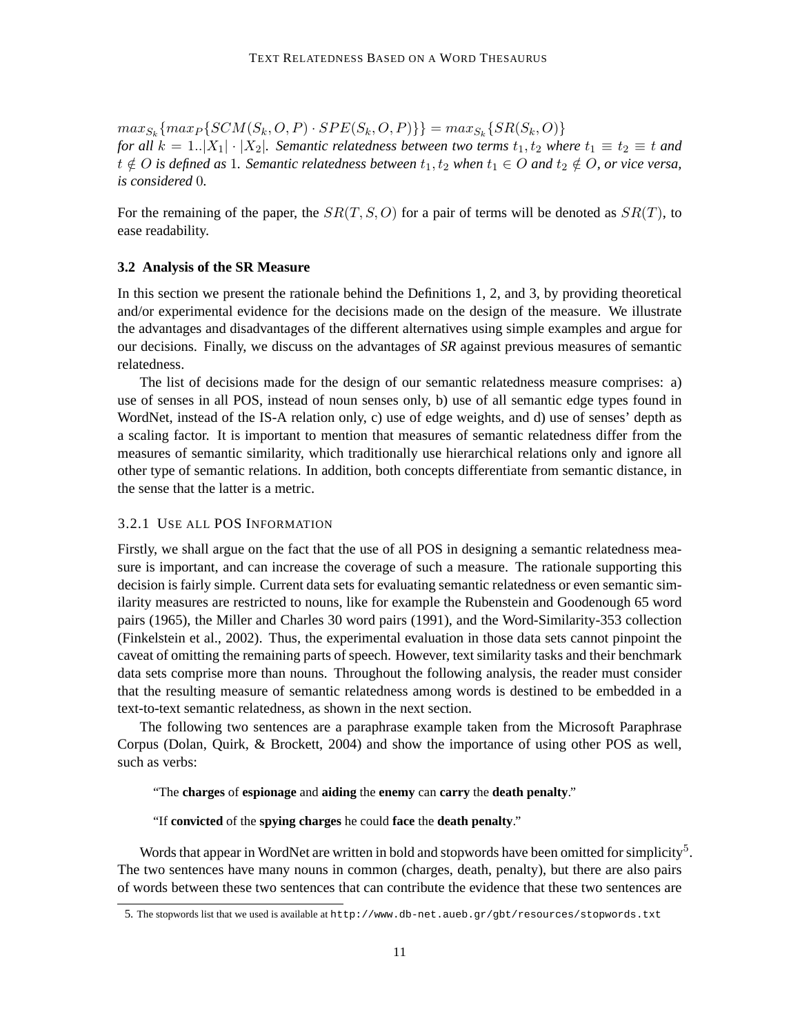$max_{S_k} \{ max_P \{SCM(S_k, O, P) \cdot SPE(S_k, O, P) \} \} = max_{S_k} \{ SR(S_k, O) \}$ *for all*  $k = 1..|X_1| \cdot |X_2|$ *. Semantic relatedness between two terms*  $t_1, t_2$  *where*  $t_1 \equiv t_2 \equiv t$  *and t*  $\notin$  *O is defined as* 1*. Semantic relatedness between*  $t_1$ ,  $t_2$  *when*  $t_1$  ∈ *O and*  $t_2$  ∉ *O*, *or vice versa*, *is considered* 0*.*

For the remaining of the paper, the  $SR(T, S, O)$  for a pair of terms will be denoted as  $SR(T)$ , to ease readability.

#### **3.2 Analysis of the SR Measure**

In this section we present the rationale behind the Definitions 1, 2, and 3, by providing theoretical and/or experimental evidence for the decisions made on the design of the measure. We illustrate the advantages and disadvantages of the different alternatives using simple examples and argue for our decisions. Finally, we discuss on the advantages of *SR* against previous measures of semantic relatedness.

The list of decisions made for the design of our semantic relatedness measure comprises: a) use of senses in all POS, instead of noun senses only, b) use of all semantic edge types found in WordNet, instead of the IS-A relation only, c) use of edge weights, and d) use of senses' depth as a scaling factor. It is important to mention that measures of semantic relatedness differ from the measures of semantic similarity, which traditionally use hierarchical relations only and ignore all other type of semantic relations. In addition, both concepts differentiate from semantic distance, in the sense that the latter is a metric.

### 3.2.1 USE ALL POS INFORMATION

Firstly, we shall argue on the fact that the use of all POS in designing a semantic relatedness measure is important, and can increase the coverage of such a measure. The rationale supporting this decision is fairly simple. Current data sets for evaluating semantic relatedness or even semantic similarity measures are restricted to nouns, like for example the Rubenstein and Goodenough 65 word pairs (1965), the Miller and Charles 30 word pairs (1991), and the Word-Similarity-353 collection (Finkelstein et al., 2002). Thus, the experimental evaluation in those data sets cannot pinpoint the caveat of omitting the remaining parts of speech. However, text similarity tasks and their benchmark data sets comprise more than nouns. Throughout the following analysis, the reader must consider that the resulting measure of semantic relatedness among words is destined to be embedded in a text-to-text semantic relatedness, as shown in the next section.

The following two sentences are a paraphrase example taken from the Microsoft Paraphrase Corpus (Dolan, Quirk, & Brockett, 2004) and show the importance of using other POS as well, such as verbs:

"The **charges** of **espionage** and **aiding** the **enemy** can **carry** the **death penalty**."

"If **convicted** of the **spying charges** he could **face** the **death penalty**."

Words that appear in WordNet are written in bold and stopwords have been omitted for simplicity<sup>5</sup>. The two sentences have many nouns in common (charges, death, penalty), but there are also pairs of words between these two sentences that can contribute the evidence that these two sentences are

<sup>5.</sup> The stopwords list that we used is available at http://www.db-net.aueb.gr/gbt/resources/stopwords.txt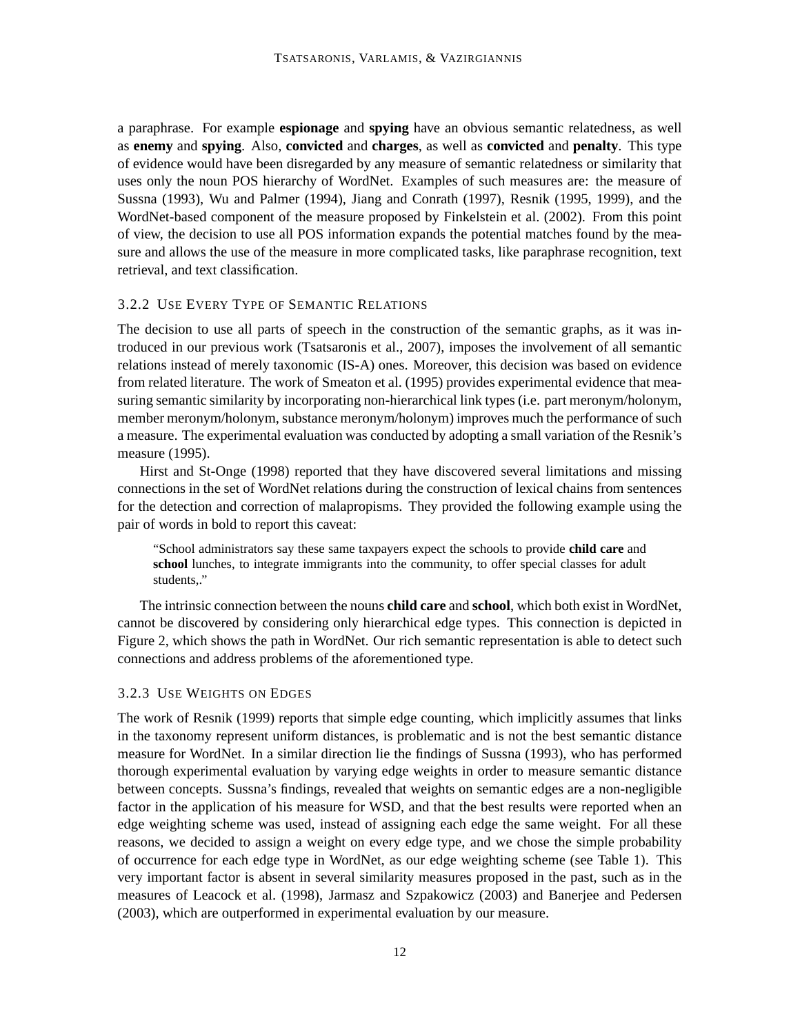a paraphrase. For example **espionage** and **spying** have an obvious semantic relatedness, as well as **enemy** and **spying**. Also, **convicted** and **charges**, as well as **convicted** and **penalty**. This type of evidence would have been disregarded by any measure of semantic relatedness or similarity that uses only the noun POS hierarchy of WordNet. Examples of such measures are: the measure of Sussna (1993), Wu and Palmer (1994), Jiang and Conrath (1997), Resnik (1995, 1999), and the WordNet-based component of the measure proposed by Finkelstein et al. (2002). From this point of view, the decision to use all POS information expands the potential matches found by the measure and allows the use of the measure in more complicated tasks, like paraphrase recognition, text retrieval, and text classification.

### 3.2.2 USE EVERY TYPE OF SEMANTIC RELATIONS

The decision to use all parts of speech in the construction of the semantic graphs, as it was introduced in our previous work (Tsatsaronis et al., 2007), imposes the involvement of all semantic relations instead of merely taxonomic (IS-A) ones. Moreover, this decision was based on evidence from related literature. The work of Smeaton et al. (1995) provides experimental evidence that measuring semantic similarity by incorporating non-hierarchical link types (i.e. part meronym/holonym, member meronym/holonym, substance meronym/holonym) improves much the performance of such a measure. The experimental evaluation was conducted by adopting a small variation of the Resnik's measure (1995).

Hirst and St-Onge (1998) reported that they have discovered several limitations and missing connections in the set of WordNet relations during the construction of lexical chains from sentences for the detection and correction of malapropisms. They provided the following example using the pair of words in bold to report this caveat:

"School administrators say these same taxpayers expect the schools to provide **child care** and **school** lunches, to integrate immigrants into the community, to offer special classes for adult students,."

The intrinsic connection between the nouns **child care** and **school**, which both exist in WordNet, cannot be discovered by considering only hierarchical edge types. This connection is depicted in Figure 2, which shows the path in WordNet. Our rich semantic representation is able to detect such connections and address problems of the aforementioned type.

### 3.2.3 USE WEIGHTS ON EDGES

The work of Resnik (1999) reports that simple edge counting, which implicitly assumes that links in the taxonomy represent uniform distances, is problematic and is not the best semantic distance measure for WordNet. In a similar direction lie the findings of Sussna (1993), who has performed thorough experimental evaluation by varying edge weights in order to measure semantic distance between concepts. Sussna's findings, revealed that weights on semantic edges are a non-negligible factor in the application of his measure for WSD, and that the best results were reported when an edge weighting scheme was used, instead of assigning each edge the same weight. For all these reasons, we decided to assign a weight on every edge type, and we chose the simple probability of occurrence for each edge type in WordNet, as our edge weighting scheme (see Table 1). This very important factor is absent in several similarity measures proposed in the past, such as in the measures of Leacock et al. (1998), Jarmasz and Szpakowicz (2003) and Banerjee and Pedersen (2003), which are outperformed in experimental evaluation by our measure.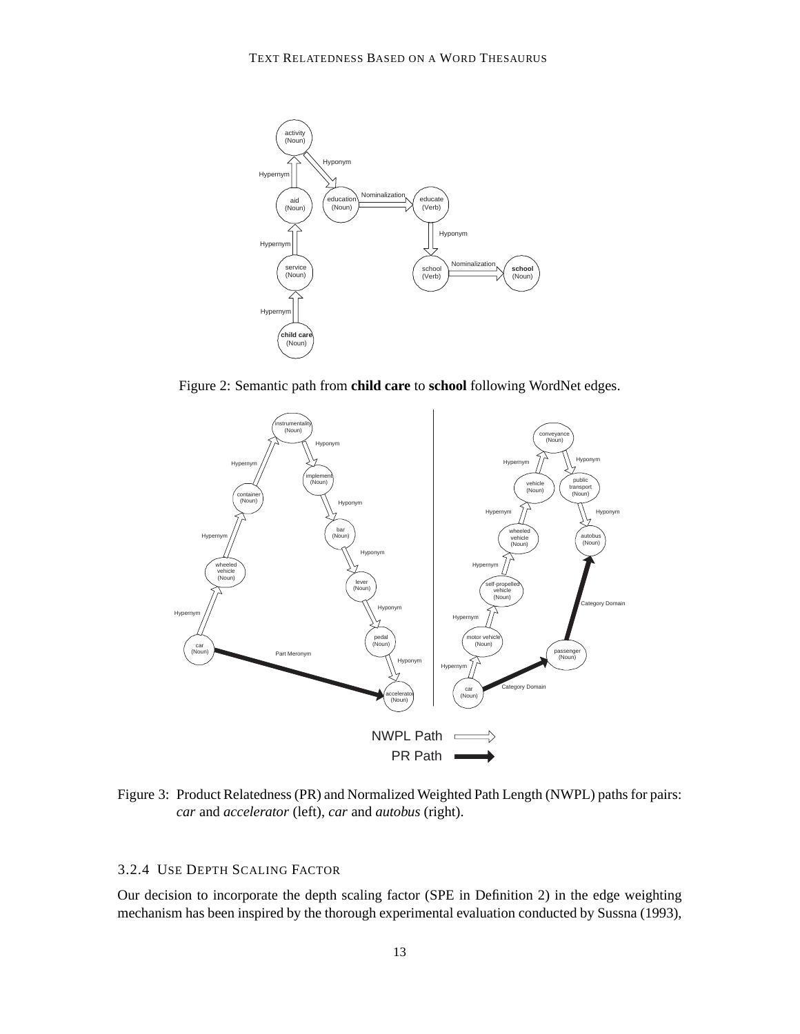

Figure 2: Semantic path from **child care** to **school** following WordNet edges.



Figure 3: Product Relatedness (PR) and Normalized Weighted Path Length (NWPL) paths for pairs: *car* and *accelerator* (left), *car* and *autobus* (right).

## 3.2.4 USE DEPTH SCALING FACTOR

Our decision to incorporate the depth scaling factor (SPE in Definition 2) in the edge weighting mechanism has been inspired by the thorough experimental evaluation conducted by Sussna (1993),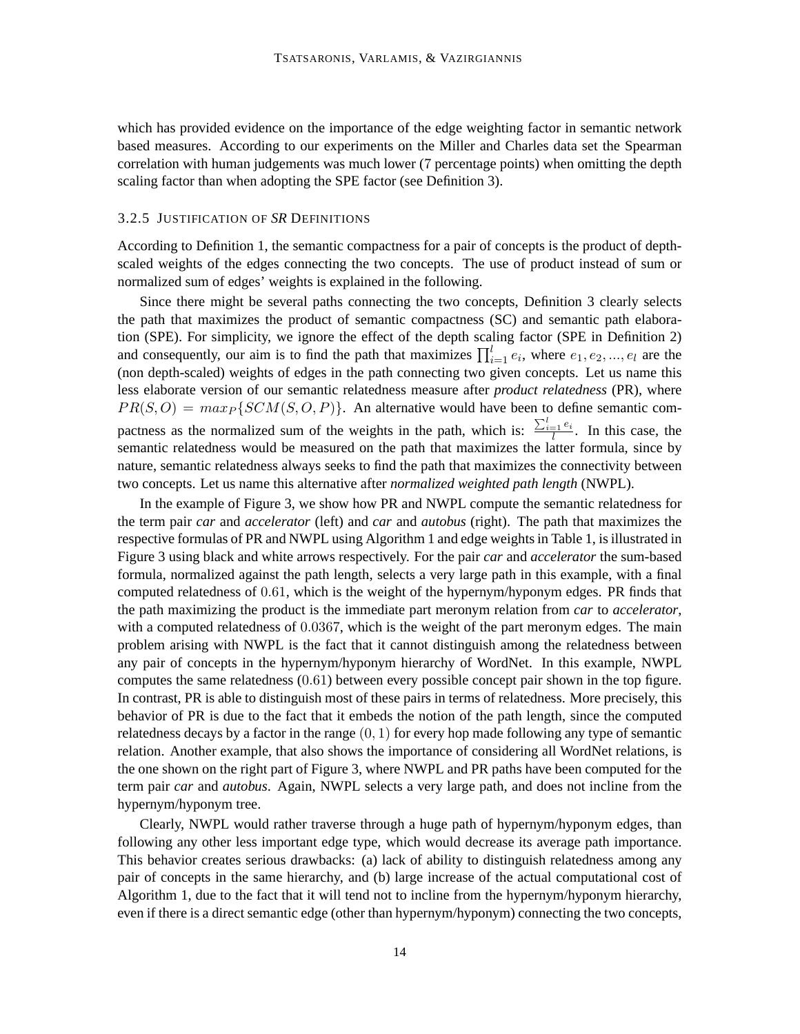which has provided evidence on the importance of the edge weighting factor in semantic network based measures. According to our experiments on the Miller and Charles data set the Spearman correlation with human judgements was much lower (7 percentage points) when omitting the depth scaling factor than when adopting the SPE factor (see Definition 3).

### 3.2.5 JUSTIFICATION OF *SR* DEFINITIONS

According to Definition 1, the semantic compactness for a pair of concepts is the product of depthscaled weights of the edges connecting the two concepts. The use of product instead of sum or normalized sum of edges' weights is explained in the following.

Since there might be several paths connecting the two concepts, Definition 3 clearly selects the path that maximizes the product of semantic compactness (SC) and semantic path elaboration (SPE). For simplicity, we ignore the effect of the depth scaling factor (SPE in Definition 2) and consequently, our aim is to find the path that maximizes  $\prod_{i=1}^{l} e_i$ , where  $e_1, e_2, ..., e_l$  are the (non depth-scaled) weights of edges in the path connecting two given concepts. Let us name this less elaborate version of our semantic relatedness measure after *product relatedness* (PR), where  $PR(S, O) = max_{P} \{SCM(S, O, P)\}.$  An alternative would have been to define semantic compactness as the normalized sum of the weights in the path, which is:  $\frac{\sum_{i=1}^{l} e_i}{l}$ . In this case, the semantic relatedness would be measured on the path that maximizes the latter formula, since by nature, semantic relatedness always seeks to find the path that maximizes the connectivity between two concepts. Let us name this alternative after *normalized weighted path length* (NWPL).

In the example of Figure 3, we show how PR and NWPL compute the semantic relatedness for the term pair *car* and *accelerator* (left) and *car* and *autobus* (right). The path that maximizes the respective formulas of PR and NWPL using Algorithm 1 and edge weights in Table 1, is illustrated in Figure 3 using black and white arrows respectively. For the pair *car* and *accelerator* the sum-based formula, normalized against the path length, selects a very large path in this example, with a final computed relatedness of 0.61, which is the weight of the hypernym/hyponym edges. PR finds that the path maximizing the product is the immediate part meronym relation from *car* to *accelerator*, with a computed relatedness of 0.0367, which is the weight of the part meronym edges. The main problem arising with NWPL is the fact that it cannot distinguish among the relatedness between any pair of concepts in the hypernym/hyponym hierarchy of WordNet. In this example, NWPL computes the same relatedness (0.61) between every possible concept pair shown in the top figure. In contrast, PR is able to distinguish most of these pairs in terms of relatedness. More precisely, this behavior of PR is due to the fact that it embeds the notion of the path length, since the computed relatedness decays by a factor in the range  $(0, 1)$  for every hop made following any type of semantic relation. Another example, that also shows the importance of considering all WordNet relations, is the one shown on the right part of Figure 3, where NWPL and PR paths have been computed for the term pair *car* and *autobus*. Again, NWPL selects a very large path, and does not incline from the hypernym/hyponym tree.

Clearly, NWPL would rather traverse through a huge path of hypernym/hyponym edges, than following any other less important edge type, which would decrease its average path importance. This behavior creates serious drawbacks: (a) lack of ability to distinguish relatedness among any pair of concepts in the same hierarchy, and (b) large increase of the actual computational cost of Algorithm 1, due to the fact that it will tend not to incline from the hypernym/hyponym hierarchy, even if there is a direct semantic edge (other than hypernym/hyponym) connecting the two concepts,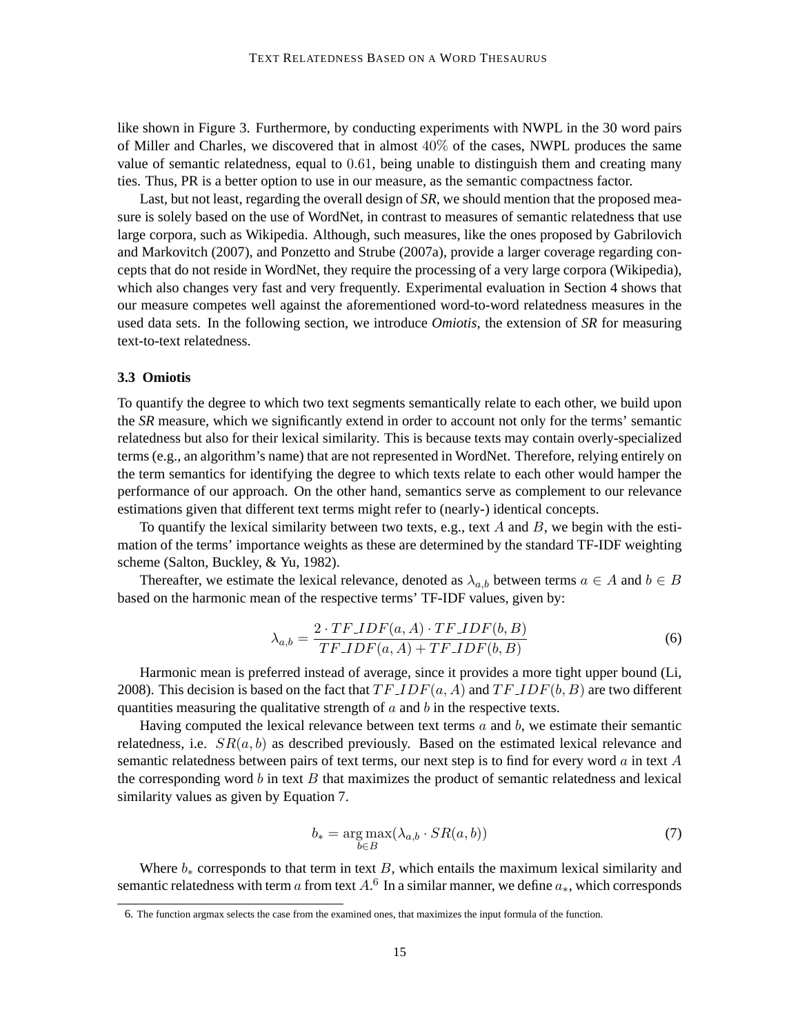like shown in Figure 3. Furthermore, by conducting experiments with NWPL in the 30 word pairs of Miller and Charles, we discovered that in almost  $40\%$  of the cases, NWPL produces the same value of semantic relatedness, equal to 0.61, being unable to distinguish them and creating many ties. Thus, PR is a better option to use in our measure, as the semantic compactness factor.

Last, but not least, regarding the overall design of *SR*, we should mention that the proposed measure is solely based on the use of WordNet, in contrast to measures of semantic relatedness that use large corpora, such as Wikipedia. Although, such measures, like the ones proposed by Gabrilovich and Markovitch (2007), and Ponzetto and Strube (2007a), provide a larger coverage regarding concepts that do not reside in WordNet, they require the processing of a very large corpora (Wikipedia), which also changes very fast and very frequently. Experimental evaluation in Section 4 shows that our measure competes well against the aforementioned word-to-word relatedness measures in the used data sets. In the following section, we introduce *Omiotis*, the extension of *SR* for measuring text-to-text relatedness.

### **3.3 Omiotis**

To quantify the degree to which two text segments semantically relate to each other, we build upon the *SR* measure, which we significantly extend in order to account not only for the terms' semantic relatedness but also for their lexical similarity. This is because texts may contain overly-specialized terms (e.g., an algorithm's name) that are not represented in WordNet. Therefore, relying entirely on the term semantics for identifying the degree to which texts relate to each other would hamper the performance of our approach. On the other hand, semantics serve as complement to our relevance estimations given that different text terms might refer to (nearly-) identical concepts.

To quantify the lexical similarity between two texts, e.g., text A and B, we begin with the estimation of the terms' importance weights as these are determined by the standard TF-IDF weighting scheme (Salton, Buckley, & Yu, 1982).

Thereafter, we estimate the lexical relevance, denoted as  $\lambda_{a,b}$  between terms  $a \in A$  and  $b \in B$ based on the harmonic mean of the respective terms' TF-IDF values, given by:

$$
\lambda_{a,b} = \frac{2 \cdot TF \cdot IDF(a,A) \cdot TF \cdot IDF(b,B)}{TF \cdot IDF(a,A) + TF \cdot IDF(b,B)} \tag{6}
$$

Harmonic mean is preferred instead of average, since it provides a more tight upper bound (Li, 2008). This decision is based on the fact that  $TF\_IDF(a, A)$  and  $TF\_IDF(b, B)$  are two different quantities measuring the qualitative strength of  $a$  and  $b$  in the respective texts.

Having computed the lexical relevance between text terms  $a$  and  $b$ , we estimate their semantic relatedness, i.e.  $SR(a, b)$  as described previously. Based on the estimated lexical relevance and semantic relatedness between pairs of text terms, our next step is to find for every word  $\alpha$  in text  $A$ the corresponding word  $b$  in text  $B$  that maximizes the product of semantic relatedness and lexical similarity values as given by Equation 7.

$$
b_* = \underset{b \in B}{\arg \max} (\lambda_{a,b} \cdot SR(a, b)) \tag{7}
$$

Where  $b_*$  corresponds to that term in text B, which entails the maximum lexical similarity and semantic relatedness with term a from text  $A<sup>6</sup>$  In a similar manner, we define  $a_*$ , which corresponds

<sup>6.</sup> The function argmax selects the case from the examined ones, that maximizes the input formula of the function.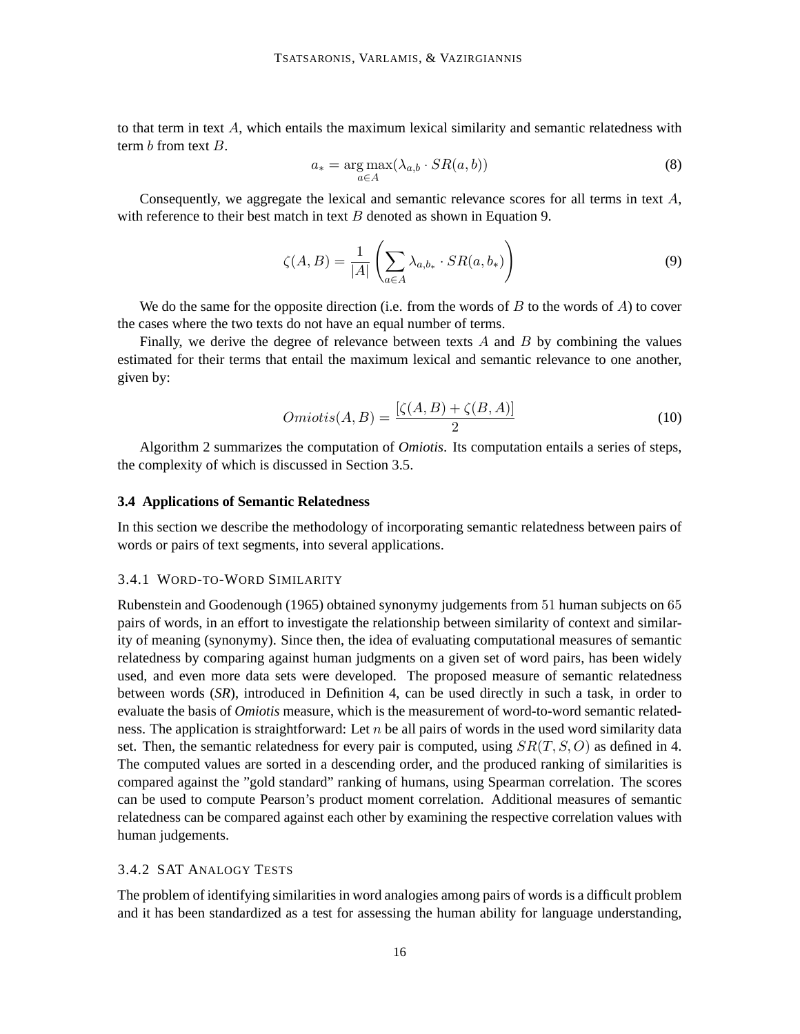to that term in text  $A$ , which entails the maximum lexical similarity and semantic relatedness with term b from text B.

$$
a_* = \underset{a \in A}{\arg \max} (\lambda_{a,b} \cdot SR(a,b))
$$
\n(8)

Consequently, we aggregate the lexical and semantic relevance scores for all terms in text A, with reference to their best match in text  $B$  denoted as shown in Equation 9.

$$
\zeta(A,B) = \frac{1}{|A|} \left( \sum_{a \in A} \lambda_{a,b_*} \cdot SR(a,b_*) \right)
$$
\n(9)

We do the same for the opposite direction (i.e. from the words of  $B$  to the words of  $A$ ) to cover the cases where the two texts do not have an equal number of terms.

Finally, we derive the degree of relevance between texts  $A$  and  $B$  by combining the values estimated for their terms that entail the maximum lexical and semantic relevance to one another, given by:

$$
Omiotis(A, B) = \frac{[\zeta(A, B) + \zeta(B, A)]}{2}
$$
\n(10)

Algorithm 2 summarizes the computation of *Omiotis*. Its computation entails a series of steps, the complexity of which is discussed in Section 3.5.

#### **3.4 Applications of Semantic Relatedness**

In this section we describe the methodology of incorporating semantic relatedness between pairs of words or pairs of text segments, into several applications.

#### 3.4.1 WORD-TO-WORD SIMILARITY

Rubenstein and Goodenough (1965) obtained synonymy judgements from 51 human subjects on 65 pairs of words, in an effort to investigate the relationship between similarity of context and similarity of meaning (synonymy). Since then, the idea of evaluating computational measures of semantic relatedness by comparing against human judgments on a given set of word pairs, has been widely used, and even more data sets were developed. The proposed measure of semantic relatedness between words (*SR*), introduced in Definition 4, can be used directly in such a task, in order to evaluate the basis of *Omiotis* measure, which is the measurement of word-to-word semantic relatedness. The application is straightforward: Let  $n$  be all pairs of words in the used word similarity data set. Then, the semantic relatedness for every pair is computed, using  $SR(T, S, O)$  as defined in 4. The computed values are sorted in a descending order, and the produced ranking of similarities is compared against the "gold standard" ranking of humans, using Spearman correlation. The scores can be used to compute Pearson's product moment correlation. Additional measures of semantic relatedness can be compared against each other by examining the respective correlation values with human judgements.

## 3.4.2 SAT ANALOGY TESTS

The problem of identifying similarities in word analogies among pairs of words is a difficult problem and it has been standardized as a test for assessing the human ability for language understanding,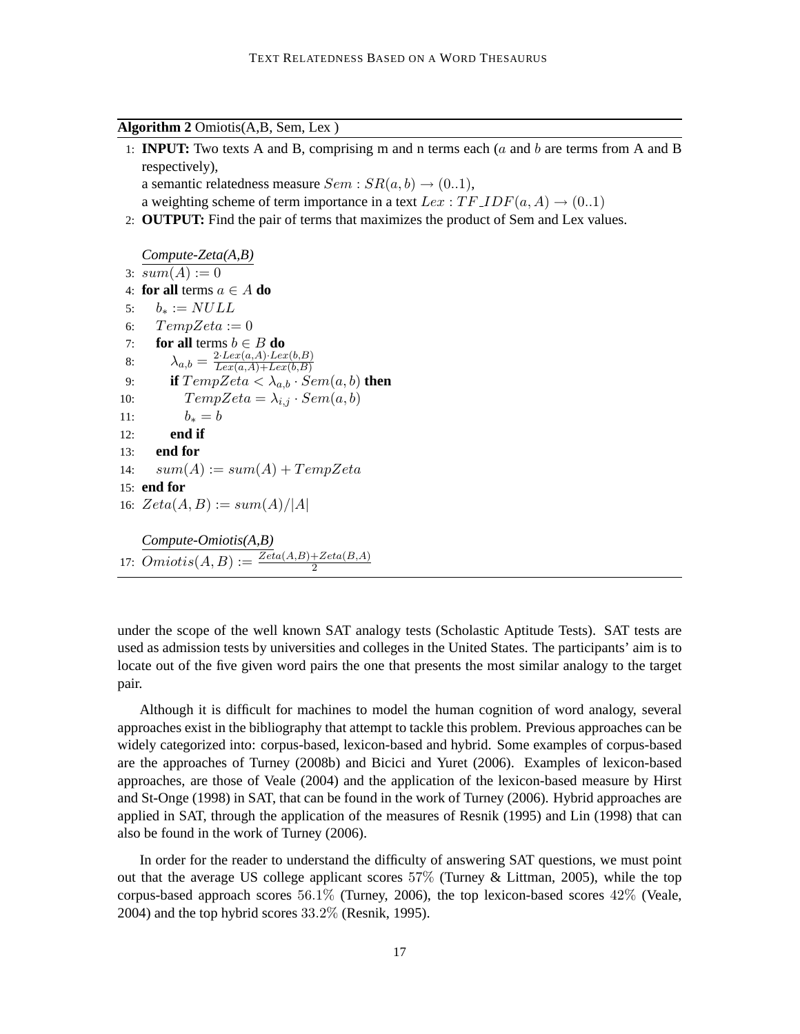**Algorithm 2** Omiotis(A,B, Sem, Lex )

- 1: **INPUT:** Two texts A and B, comprising m and n terms each (a and b are terms from A and B respectively), a semantic relatedness measure  $Sem : SR(a, b) \rightarrow (0..1),$
- a weighting scheme of term importance in a text  $Lex : TF\_IDF(a, A) \rightarrow (0..1)$
- 2: **OUTPUT:** Find the pair of terms that maximizes the product of Sem and Lex values.

```
Compute-Zeta(A,B)
 3: sum(A) := 04: for all terms a \in A do
 5: b_* := NULL6: TempZeta := 07: for all terms b \in B do
 8: \lambda_{a,b} = \frac{2 \cdot Lex(a,A) \cdot Lex(b,B)}{Lex(a,A) + Lex(b,B)}Lex(a,A)+Lex(b,B)9: if TempZeta < \lambda_{a,b} \cdot Sem(a,b) then
10: TempZeta = \lambda_{i,j} \cdot Sem(a, b)11: b_* = b12: end if
13: end for
14: sum(A) := sum(A) + TempZeta15: end for
16: Zeta(A, B) := sum(A)/|A|Compute-Omiotis(A,B)
17: Omiotis(A, B) := \frac{Zeta(A, B) + Zeta(B, A)}{2}
```
under the scope of the well known SAT analogy tests (Scholastic Aptitude Tests). SAT tests are used as admission tests by universities and colleges in the United States. The participants' aim is to locate out of the five given word pairs the one that presents the most similar analogy to the target pair.

Although it is difficult for machines to model the human cognition of word analogy, several approaches exist in the bibliography that attempt to tackle this problem. Previous approaches can be widely categorized into: corpus-based, lexicon-based and hybrid. Some examples of corpus-based are the approaches of Turney (2008b) and Bicici and Yuret (2006). Examples of lexicon-based approaches, are those of Veale (2004) and the application of the lexicon-based measure by Hirst and St-Onge (1998) in SAT, that can be found in the work of Turney (2006). Hybrid approaches are applied in SAT, through the application of the measures of Resnik (1995) and Lin (1998) that can also be found in the work of Turney (2006).

In order for the reader to understand the difficulty of answering SAT questions, we must point out that the average US college applicant scores  $57\%$  (Turney & Littman, 2005), while the top corpus-based approach scores 56.1% (Turney, 2006), the top lexicon-based scores 42% (Veale,  $2004$ ) and the top hybrid scores  $33.2\%$  (Resnik, 1995).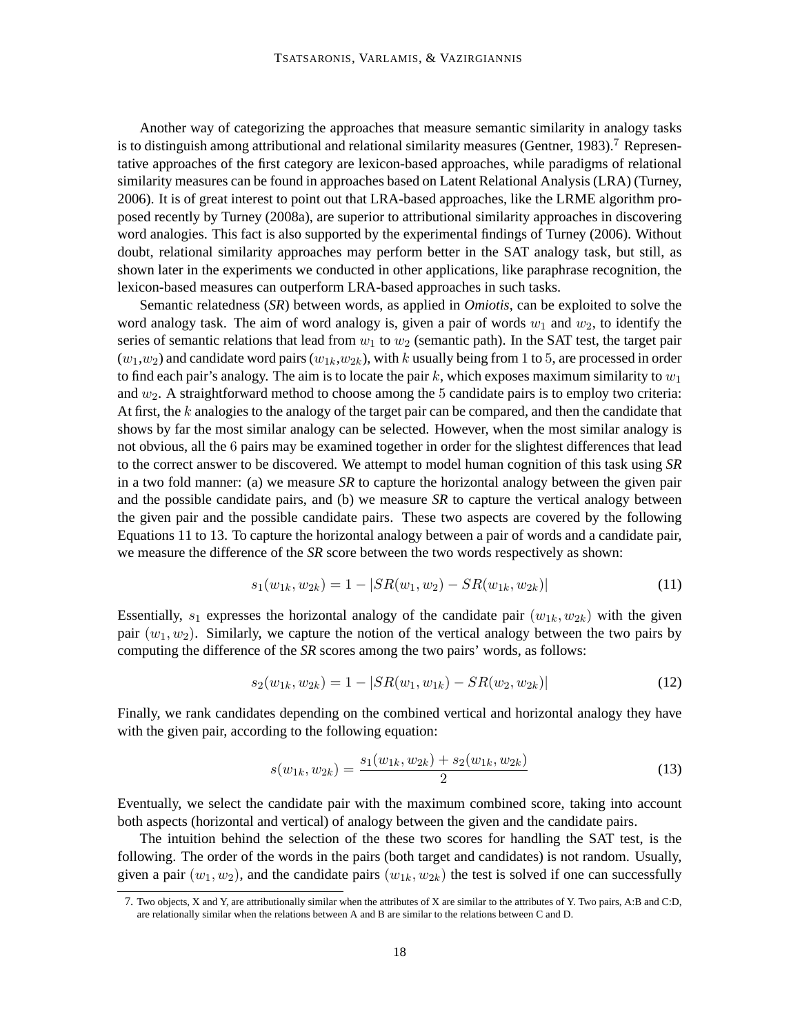Another way of categorizing the approaches that measure semantic similarity in analogy tasks is to distinguish among attributional and relational similarity measures (Gentner, 1983).<sup>7</sup> Representative approaches of the first category are lexicon-based approaches, while paradigms of relational similarity measures can be found in approaches based on Latent Relational Analysis (LRA) (Turney, 2006). It is of great interest to point out that LRA-based approaches, like the LRME algorithm proposed recently by Turney (2008a), are superior to attributional similarity approaches in discovering word analogies. This fact is also supported by the experimental findings of Turney (2006). Without doubt, relational similarity approaches may perform better in the SAT analogy task, but still, as shown later in the experiments we conducted in other applications, like paraphrase recognition, the lexicon-based measures can outperform LRA-based approaches in such tasks.

Semantic relatedness (*SR*) between words, as applied in *Omiotis*, can be exploited to solve the word analogy task. The aim of word analogy is, given a pair of words  $w_1$  and  $w_2$ , to identify the series of semantic relations that lead from  $w_1$  to  $w_2$  (semantic path). In the SAT test, the target pair  $(w_1,w_2)$  and candidate word pairs  $(w_{1k},w_{2k})$ , with k usually being from 1 to 5, are processed in order to find each pair's analogy. The aim is to locate the pair  $k$ , which exposes maximum similarity to  $w_1$ and  $w_2$ . A straightforward method to choose among the 5 candidate pairs is to employ two criteria: At first, the  $k$  analogies to the analogy of the target pair can be compared, and then the candidate that shows by far the most similar analogy can be selected. However, when the most similar analogy is not obvious, all the 6 pairs may be examined together in order for the slightest differences that lead to the correct answer to be discovered. We attempt to model human cognition of this task using *SR* in a two fold manner: (a) we measure *SR* to capture the horizontal analogy between the given pair and the possible candidate pairs, and (b) we measure *SR* to capture the vertical analogy between the given pair and the possible candidate pairs. These two aspects are covered by the following Equations 11 to 13. To capture the horizontal analogy between a pair of words and a candidate pair, we measure the difference of the *SR* score between the two words respectively as shown:

$$
s_1(w_{1k}, w_{2k}) = 1 - |SR(w_1, w_2) - SR(w_{1k}, w_{2k})|
$$
\n(11)

Essentially,  $s_1$  expresses the horizontal analogy of the candidate pair  $(w_{1k}, w_{2k})$  with the given pair  $(w_1, w_2)$ . Similarly, we capture the notion of the vertical analogy between the two pairs by computing the difference of the *SR* scores among the two pairs' words, as follows:

$$
s_2(w_{1k}, w_{2k}) = 1 - |SR(w_1, w_{1k}) - SR(w_2, w_{2k})|
$$
\n(12)

Finally, we rank candidates depending on the combined vertical and horizontal analogy they have with the given pair, according to the following equation:

$$
s(w_{1k}, w_{2k}) = \frac{s_1(w_{1k}, w_{2k}) + s_2(w_{1k}, w_{2k})}{2}
$$
\n(13)

Eventually, we select the candidate pair with the maximum combined score, taking into account both aspects (horizontal and vertical) of analogy between the given and the candidate pairs.

The intuition behind the selection of the these two scores for handling the SAT test, is the following. The order of the words in the pairs (both target and candidates) is not random. Usually, given a pair  $(w_1, w_2)$ , and the candidate pairs  $(w_{1k}, w_{2k})$  the test is solved if one can successfully

<sup>7.</sup> Two objects, X and Y, are attributionally similar when the attributes of X are similar to the attributes of Y. Two pairs, A:B and C:D, are relationally similar when the relations between A and B are similar to the relations between C and D.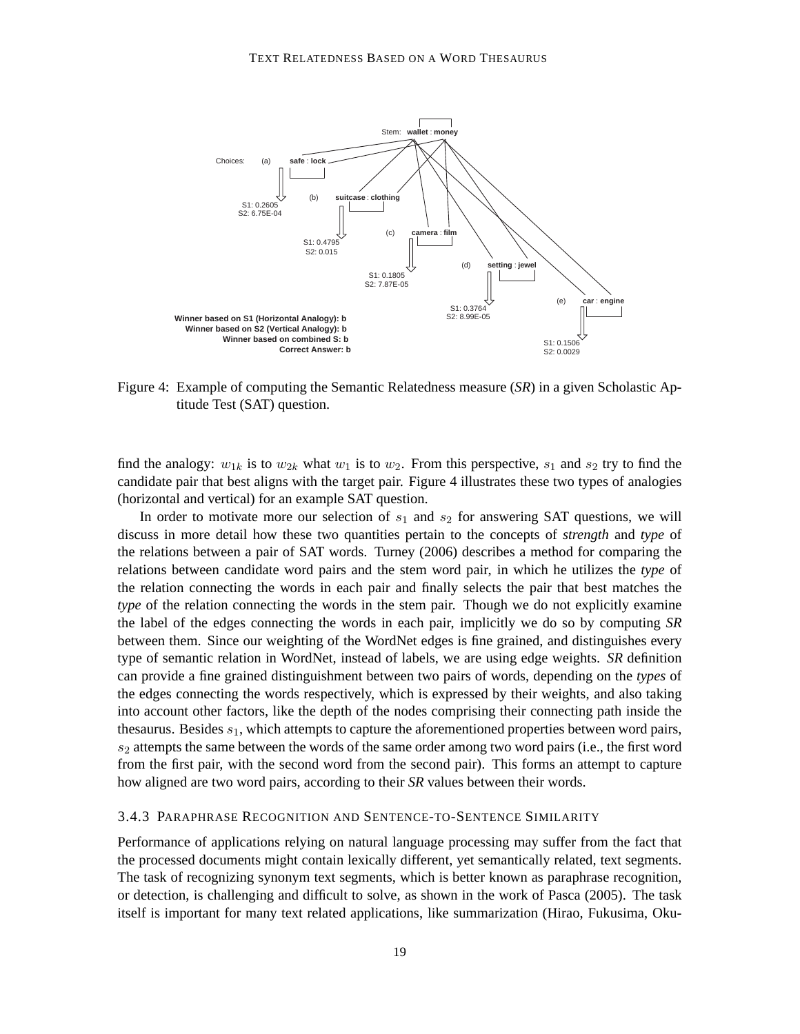

Figure 4: Example of computing the Semantic Relatedness measure (*SR*) in a given Scholastic Aptitude Test (SAT) question.

find the analogy:  $w_{1k}$  is to  $w_{2k}$  what  $w_1$  is to  $w_2$ . From this perspective,  $s_1$  and  $s_2$  try to find the candidate pair that best aligns with the target pair. Figure 4 illustrates these two types of analogies (horizontal and vertical) for an example SAT question.

In order to motivate more our selection of  $s_1$  and  $s_2$  for answering SAT questions, we will discuss in more detail how these two quantities pertain to the concepts of *strength* and *type* of the relations between a pair of SAT words. Turney (2006) describes a method for comparing the relations between candidate word pairs and the stem word pair, in which he utilizes the *type* of the relation connecting the words in each pair and finally selects the pair that best matches the *type* of the relation connecting the words in the stem pair. Though we do not explicitly examine the label of the edges connecting the words in each pair, implicitly we do so by computing *SR* between them. Since our weighting of the WordNet edges is fine grained, and distinguishes every type of semantic relation in WordNet, instead of labels, we are using edge weights. *SR* definition can provide a fine grained distinguishment between two pairs of words, depending on the *types* of the edges connecting the words respectively, which is expressed by their weights, and also taking into account other factors, like the depth of the nodes comprising their connecting path inside the thesaurus. Besides  $s_1$ , which attempts to capture the aforementioned properties between word pairs,  $s_2$  attempts the same between the words of the same order among two word pairs (i.e., the first word from the first pair, with the second word from the second pair). This forms an attempt to capture how aligned are two word pairs, according to their *SR* values between their words.

#### 3.4.3 PARAPHRASE RECOGNITION AND SENTENCE-TO-SENTENCE SIMILARITY

Performance of applications relying on natural language processing may suffer from the fact that the processed documents might contain lexically different, yet semantically related, text segments. The task of recognizing synonym text segments, which is better known as paraphrase recognition, or detection, is challenging and difficult to solve, as shown in the work of Pasca (2005). The task itself is important for many text related applications, like summarization (Hirao, Fukusima, Oku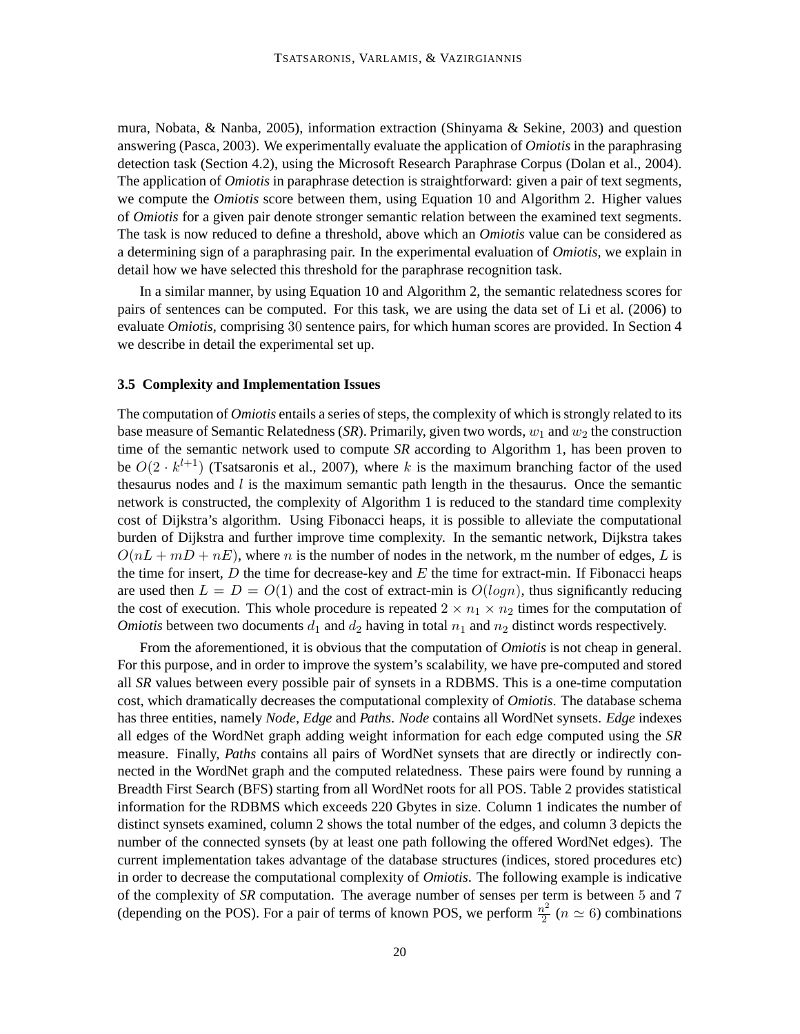mura, Nobata, & Nanba, 2005), information extraction (Shinyama & Sekine, 2003) and question answering (Pasca, 2003). We experimentally evaluate the application of *Omiotis* in the paraphrasing detection task (Section 4.2), using the Microsoft Research Paraphrase Corpus (Dolan et al., 2004). The application of *Omiotis* in paraphrase detection is straightforward: given a pair of text segments, we compute the *Omiotis* score between them, using Equation 10 and Algorithm 2. Higher values of *Omiotis* for a given pair denote stronger semantic relation between the examined text segments. The task is now reduced to define a threshold, above which an *Omiotis* value can be considered as a determining sign of a paraphrasing pair. In the experimental evaluation of *Omiotis*, we explain in detail how we have selected this threshold for the paraphrase recognition task.

In a similar manner, by using Equation 10 and Algorithm 2, the semantic relatedness scores for pairs of sentences can be computed. For this task, we are using the data set of Li et al. (2006) to evaluate *Omiotis*, comprising 30 sentence pairs, for which human scores are provided. In Section 4 we describe in detail the experimental set up.

#### **3.5 Complexity and Implementation Issues**

The computation of *Omiotis* entails a series of steps, the complexity of which is strongly related to its base measure of Semantic Relatedness (*SR*). Primarily, given two words,  $w_1$  and  $w_2$  the construction time of the semantic network used to compute *SR* according to Algorithm 1, has been proven to be  $O(2 \cdot k^{l+1})$  (Tsatsaronis et al., 2007), where k is the maximum branching factor of the used thesaurus nodes and  $l$  is the maximum semantic path length in the thesaurus. Once the semantic network is constructed, the complexity of Algorithm 1 is reduced to the standard time complexity cost of Dijkstra's algorithm. Using Fibonacci heaps, it is possible to alleviate the computational burden of Dijkstra and further improve time complexity. In the semantic network, Dijkstra takes  $O(nL + mD + nE)$ , where *n* is the number of nodes in the network, m the number of edges, L is the time for insert,  $D$  the time for decrease-key and  $E$  the time for extract-min. If Fibonacci heaps are used then  $L = D = O(1)$  and the cost of extract-min is  $O(log n)$ , thus significantly reducing the cost of execution. This whole procedure is repeated  $2 \times n_1 \times n_2$  times for the computation of *Omiotis* between two documents  $d_1$  and  $d_2$  having in total  $n_1$  and  $n_2$  distinct words respectively.

From the aforementioned, it is obvious that the computation of *Omiotis* is not cheap in general. For this purpose, and in order to improve the system's scalability, we have pre-computed and stored all *SR* values between every possible pair of synsets in a RDBMS. This is a one-time computation cost, which dramatically decreases the computational complexity of *Omiotis*. The database schema has three entities, namely *Node*, *Edge* and *Paths*. *Node* contains all WordNet synsets. *Edge* indexes all edges of the WordNet graph adding weight information for each edge computed using the *SR* measure. Finally, *Paths* contains all pairs of WordNet synsets that are directly or indirectly connected in the WordNet graph and the computed relatedness. These pairs were found by running a Breadth First Search (BFS) starting from all WordNet roots for all POS. Table 2 provides statistical information for the RDBMS which exceeds 220 Gbytes in size. Column 1 indicates the number of distinct synsets examined, column 2 shows the total number of the edges, and column 3 depicts the number of the connected synsets (by at least one path following the offered WordNet edges). The current implementation takes advantage of the database structures (indices, stored procedures etc) in order to decrease the computational complexity of *Omiotis*. The following example is indicative of the complexity of *SR* computation. The average number of senses per term is between 5 and 7 (depending on the POS). For a pair of terms of known POS, we perform  $\frac{n^2}{2}$  $\frac{v^2}{2}$  ( $n \simeq 6$ ) combinations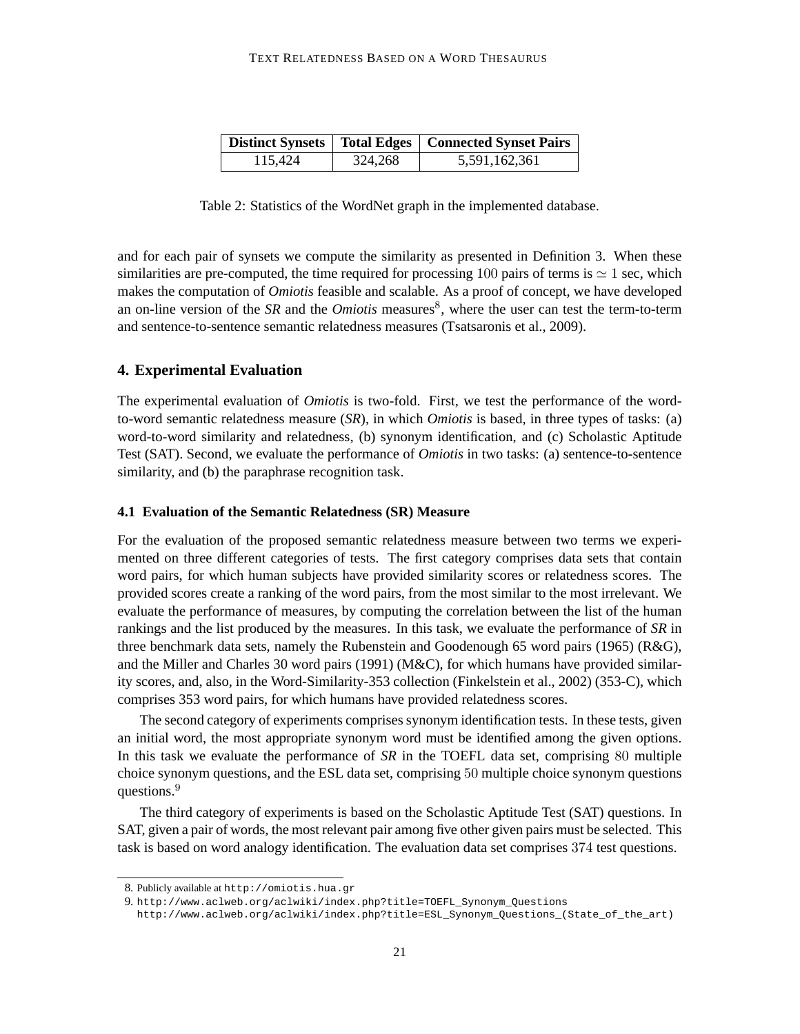| Distinct Synsets   Total Edges   Connected Synset Pairs |         |               |  |  |
|---------------------------------------------------------|---------|---------------|--|--|
| 115.424                                                 | 324,268 | 5,591,162,361 |  |  |

Table 2: Statistics of the WordNet graph in the implemented database.

and for each pair of synsets we compute the similarity as presented in Definition 3. When these similarities are pre-computed, the time required for processing 100 pairs of terms is  $\simeq 1$  sec, which makes the computation of *Omiotis* feasible and scalable. As a proof of concept, we have developed an on-line version of the *SR* and the *Omiotis* measures<sup>8</sup>, where the user can test the term-to-term and sentence-to-sentence semantic relatedness measures (Tsatsaronis et al., 2009).

### **4. Experimental Evaluation**

The experimental evaluation of *Omiotis* is two-fold. First, we test the performance of the wordto-word semantic relatedness measure (*SR*), in which *Omiotis* is based, in three types of tasks: (a) word-to-word similarity and relatedness, (b) synonym identification, and (c) Scholastic Aptitude Test (SAT). Second, we evaluate the performance of *Omiotis* in two tasks: (a) sentence-to-sentence similarity, and (b) the paraphrase recognition task.

### **4.1 Evaluation of the Semantic Relatedness (SR) Measure**

For the evaluation of the proposed semantic relatedness measure between two terms we experimented on three different categories of tests. The first category comprises data sets that contain word pairs, for which human subjects have provided similarity scores or relatedness scores. The provided scores create a ranking of the word pairs, from the most similar to the most irrelevant. We evaluate the performance of measures, by computing the correlation between the list of the human rankings and the list produced by the measures. In this task, we evaluate the performance of *SR* in three benchmark data sets, namely the Rubenstein and Goodenough 65 word pairs (1965) ( $R&G$ ), and the Miller and Charles 30 word pairs (1991) (M&C), for which humans have provided similarity scores, and, also, in the Word-Similarity-353 collection (Finkelstein et al., 2002) (353-C), which comprises 353 word pairs, for which humans have provided relatedness scores.

The second category of experiments comprises synonym identification tests. In these tests, given an initial word, the most appropriate synonym word must be identified among the given options. In this task we evaluate the performance of *SR* in the TOEFL data set, comprising 80 multiple choice synonym questions, and the ESL data set, comprising 50 multiple choice synonym questions questions.<sup>9</sup>

The third category of experiments is based on the Scholastic Aptitude Test (SAT) questions. In SAT, given a pair of words, the most relevant pair among five other given pairs must be selected. This task is based on word analogy identification. The evaluation data set comprises 374 test questions.

<sup>8.</sup> Publicly available at http://omiotis.hua.gr

<sup>9.</sup> http://www.aclweb.org/aclwiki/index.php?title=TOEFL\_Synonym\_Questions

http://www.aclweb.org/aclwiki/index.php?title=ESL\_Synonym\_Questions\_(State\_of\_the\_art)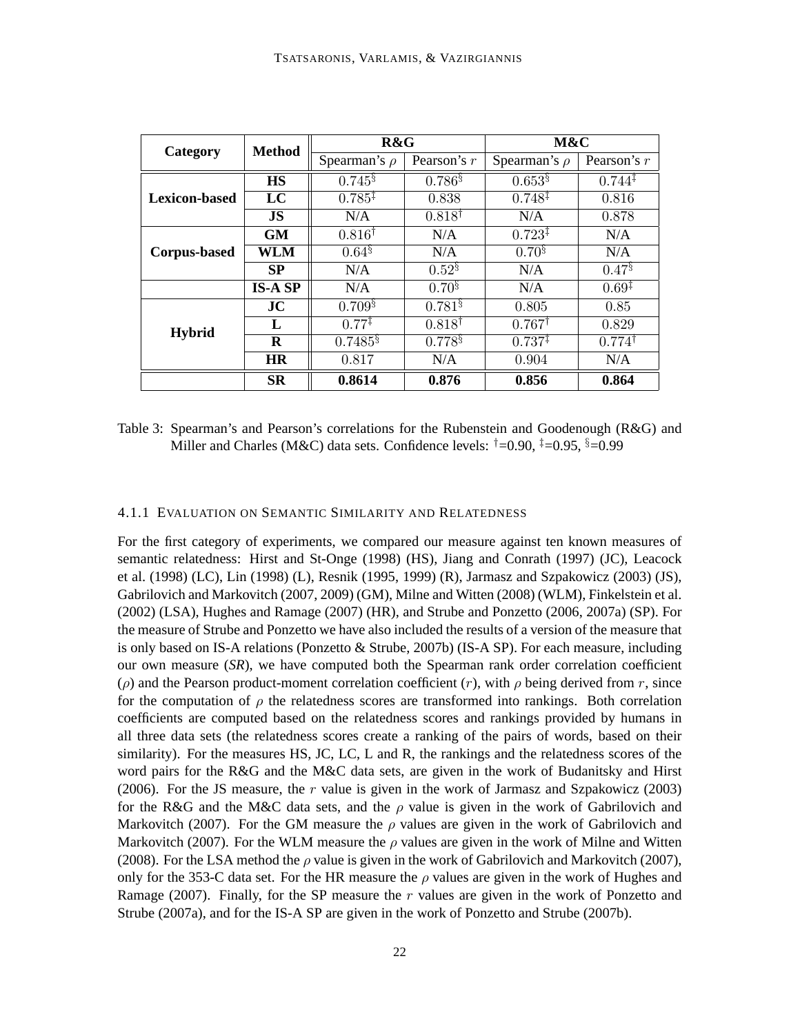| Category             | <b>Method</b>  | R&G                   |                   | M&C                |                    |  |
|----------------------|----------------|-----------------------|-------------------|--------------------|--------------------|--|
|                      |                | Spearman's $\rho$     | Pearson's r       | Spearman's $\rho$  | Pearson's $r$      |  |
|                      | <b>HS</b>      | $0.745^{\S}$          | $0.786\$          | $0.653\$           | $0.744^{\ddagger}$ |  |
| <b>Lexicon-based</b> | LC             | $0.785^{\ddagger}$    | 0.838             | $0.748^{\ddagger}$ | 0.816              |  |
|                      | <b>JS</b>      | N/A                   | $0.818^{\dagger}$ | N/A                | 0.878              |  |
|                      | <b>GM</b>      | $0.816^{\dagger}$     | N/A               | $0.723^{\ddagger}$ | N/A                |  |
| <b>Corpus-based</b>  | WLM            | $0.64^{8}$            | N/A               | $0.70^{8}$         | N/A                |  |
|                      | SP             | N/A                   | $0.52^{8}$        | N/A                | $0.47\%$           |  |
|                      | <b>IS-A SP</b> | N/A                   | $0.70^{8}$        | N/A                | $0.69^{\ddagger}$  |  |
|                      | JC             | $0.709\%$             | $0.781\%$         | 0.805              | 0.85               |  |
| <b>Hybrid</b>        | L              | $0.77^{\ddagger}$     | $0.818^{\dagger}$ | $0.767^{\dagger}$  | 0.829              |  |
|                      | $\bf{R}$       | $0.7485$ <sup>§</sup> | $0.778^{8}$       | $0.737^{\ddagger}$ | $0.774^{\dagger}$  |  |
|                      | <b>HR</b>      | 0.817                 | N/A               | 0.904              | N/A                |  |
|                      | <b>SR</b>      | 0.8614                | 0.876             | 0.856              | 0.864              |  |

Table 3: Spearman's and Pearson's correlations for the Rubenstein and Goodenough (R&G) and Miller and Charles (M&C) data sets. Confidence levels:  $\dagger=0.90$ ,  $\dagger=0.95$ ,  $\dagger=0.99$ 

#### 4.1.1 EVALUATION ON SEMANTIC SIMILARITY AND RELATEDNESS

For the first category of experiments, we compared our measure against ten known measures of semantic relatedness: Hirst and St-Onge (1998) (HS), Jiang and Conrath (1997) (JC), Leacock et al. (1998) (LC), Lin (1998) (L), Resnik (1995, 1999) (R), Jarmasz and Szpakowicz (2003) (JS), Gabrilovich and Markovitch (2007, 2009) (GM), Milne and Witten (2008) (WLM), Finkelstein et al. (2002) (LSA), Hughes and Ramage (2007) (HR), and Strube and Ponzetto (2006, 2007a) (SP). For the measure of Strube and Ponzetto we have also included the results of a version of the measure that is only based on IS-A relations (Ponzetto & Strube, 2007b) (IS-A SP). For each measure, including our own measure (*SR*), we have computed both the Spearman rank order correlation coefficient ( $ρ$ ) and the Pearson product-moment correlation coefficient (r), with  $ρ$  being derived from r, since for the computation of  $\rho$  the relatedness scores are transformed into rankings. Both correlation coefficients are computed based on the relatedness scores and rankings provided by humans in all three data sets (the relatedness scores create a ranking of the pairs of words, based on their similarity). For the measures HS, JC, LC, L and R, the rankings and the relatedness scores of the word pairs for the R&G and the M&C data sets, are given in the work of Budanitsky and Hirst (2006). For the JS measure, the  $r$  value is given in the work of Jarmasz and Szpakowicz (2003) for the R&G and the M&C data sets, and the  $\rho$  value is given in the work of Gabrilovich and Markovitch (2007). For the GM measure the  $\rho$  values are given in the work of Gabrilovich and Markovitch (2007). For the WLM measure the  $\rho$  values are given in the work of Milne and Witten (2008). For the LSA method the  $\rho$  value is given in the work of Gabrilovich and Markovitch (2007), only for the 353-C data set. For the HR measure the  $\rho$  values are given in the work of Hughes and Ramage (2007). Finally, for the SP measure the  $r$  values are given in the work of Ponzetto and Strube (2007a), and for the IS-A SP are given in the work of Ponzetto and Strube (2007b).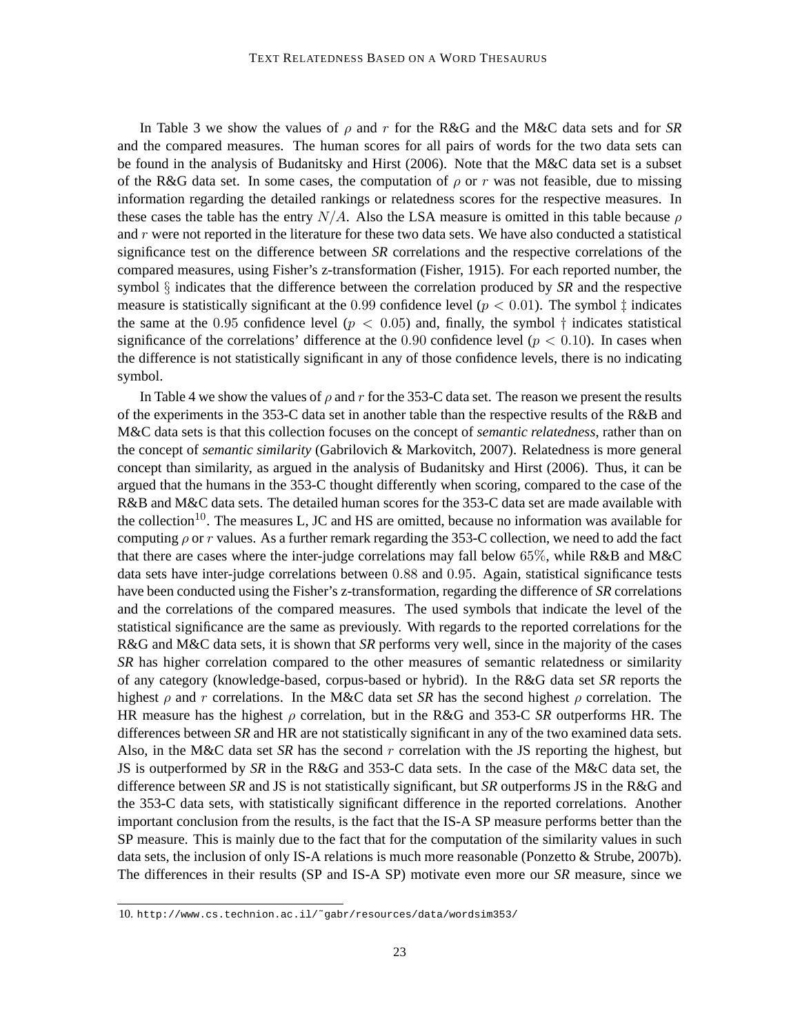In Table 3 we show the values of  $\rho$  and r for the R&G and the M&C data sets and for *SR* and the compared measures. The human scores for all pairs of words for the two data sets can be found in the analysis of Budanitsky and Hirst (2006). Note that the M&C data set is a subset of the R&G data set. In some cases, the computation of  $\rho$  or r was not feasible, due to missing information regarding the detailed rankings or relatedness scores for the respective measures. In these cases the table has the entry  $N/A$ . Also the LSA measure is omitted in this table because  $\rho$ and  $r$  were not reported in the literature for these two data sets. We have also conducted a statistical significance test on the difference between *SR* correlations and the respective correlations of the compared measures, using Fisher's z-transformation (Fisher, 1915). For each reported number, the symbol § indicates that the difference between the correlation produced by *SR* and the respective measure is statistically significant at the 0.99 confidence level ( $p < 0.01$ ). The symbol  $\ddagger$  indicates the same at the 0.95 confidence level ( $p < 0.05$ ) and, finally, the symbol  $\dagger$  indicates statistical significance of the correlations' difference at the 0.90 confidence level ( $p < 0.10$ ). In cases when the difference is not statistically significant in any of those confidence levels, there is no indicating symbol.

In Table 4 we show the values of  $\rho$  and r for the 353-C data set. The reason we present the results of the experiments in the 353-C data set in another table than the respective results of the R&B and M&C data sets is that this collection focuses on the concept of *semantic relatedness*, rather than on the concept of *semantic similarity* (Gabrilovich & Markovitch, 2007). Relatedness is more general concept than similarity, as argued in the analysis of Budanitsky and Hirst (2006). Thus, it can be argued that the humans in the 353-C thought differently when scoring, compared to the case of the R&B and M&C data sets. The detailed human scores for the 353-C data set are made available with the collection<sup>10</sup>. The measures L, JC and HS are omitted, because no information was available for computing  $\rho$  or r values. As a further remark regarding the 353-C collection, we need to add the fact that there are cases where the inter-judge correlations may fall below 65%, while R&B and M&C data sets have inter-judge correlations between 0.88 and 0.95. Again, statistical significance tests have been conducted using the Fisher's z-transformation, regarding the difference of *SR* correlations and the correlations of the compared measures. The used symbols that indicate the level of the statistical significance are the same as previously. With regards to the reported correlations for the R&G and M&C data sets, it is shown that *SR* performs very well, since in the majority of the cases *SR* has higher correlation compared to the other measures of semantic relatedness or similarity of any category (knowledge-based, corpus-based or hybrid). In the R&G data set *SR* reports the highest  $\rho$  and r correlations. In the M&C data set *SR* has the second highest  $\rho$  correlation. The HR measure has the highest ρ correlation, but in the R&G and 353-C *SR* outperforms HR. The differences between *SR* and HR are not statistically significant in any of the two examined data sets. Also, in the M&C data set *SR* has the second r correlation with the JS reporting the highest, but JS is outperformed by *SR* in the R&G and 353-C data sets. In the case of the M&C data set, the difference between *SR* and JS is not statistically significant, but *SR* outperforms JS in the R&G and the 353-C data sets, with statistically significant difference in the reported correlations. Another important conclusion from the results, is the fact that the IS-A SP measure performs better than the SP measure. This is mainly due to the fact that for the computation of the similarity values in such data sets, the inclusion of only IS-A relations is much more reasonable (Ponzetto & Strube, 2007b). The differences in their results (SP and IS-A SP) motivate even more our *SR* measure, since we

<sup>10.</sup> http://www.cs.technion.ac.il/˜gabr/resources/data/wordsim353/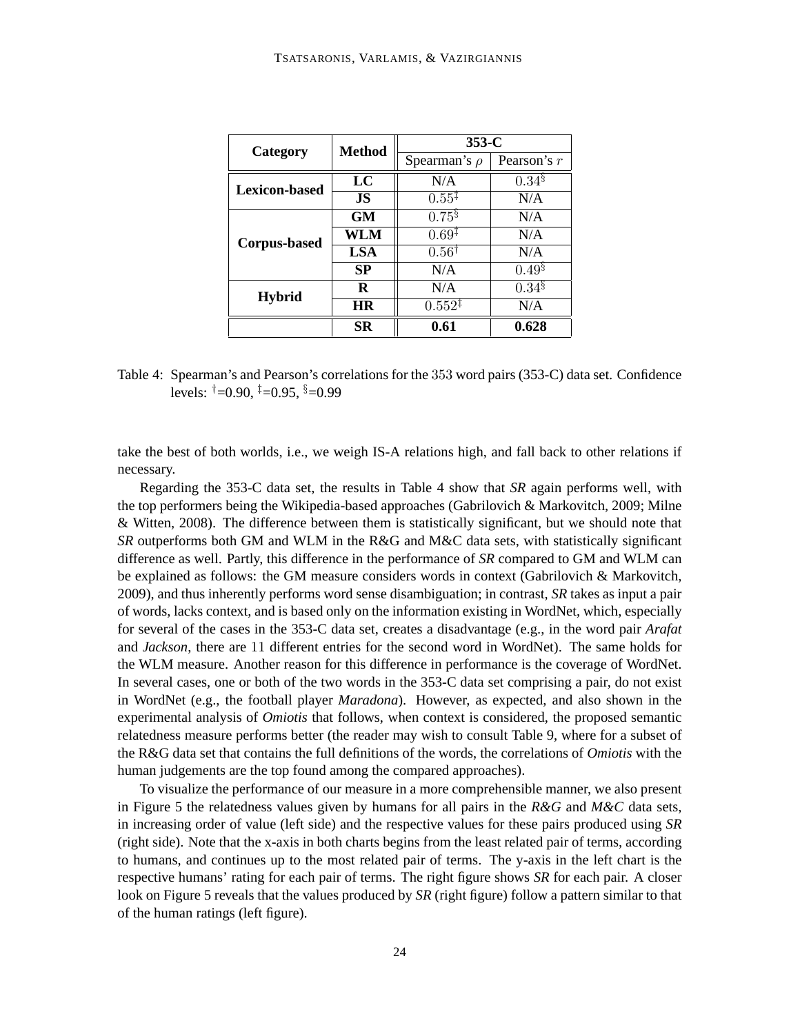| Category             | <b>Method</b> | $353-C$            |                      |  |  |
|----------------------|---------------|--------------------|----------------------|--|--|
|                      |               | Spearman's $\rho$  | Pearson's $r$        |  |  |
| <b>Lexicon-based</b> | LC            | N/A                | $0.34\%$             |  |  |
|                      | <b>JS</b>     | $0.55^{\ddagger}$  | N/A                  |  |  |
| <b>Corpus-based</b>  | <b>GM</b>     | $0.75^{\S}$        | N/A                  |  |  |
|                      | WLM           | $0.69^{\ddagger}$  | N/A                  |  |  |
|                      | <b>LSA</b>    | $0.56^{\dagger}$   | N/A                  |  |  |
|                      | <b>SP</b>     | N/A                | $0.49^{\frac{1}{3}}$ |  |  |
| <b>Hybrid</b>        | R             | N/A                | $0.34\%$             |  |  |
|                      | HR            | $0.552^{\ddagger}$ | N/A                  |  |  |
|                      | SR            | 0.61               | 0.628                |  |  |

Table 4: Spearman's and Pearson's correlations for the 353 word pairs (353-C) data set. Confidence levels:  $\uparrow$  =0.90,  $\uparrow$  =0.95,  $\S$ =0.99

take the best of both worlds, i.e., we weigh IS-A relations high, and fall back to other relations if necessary.

Regarding the 353-C data set, the results in Table 4 show that *SR* again performs well, with the top performers being the Wikipedia-based approaches (Gabrilovich & Markovitch, 2009; Milne & Witten, 2008). The difference between them is statistically significant, but we should note that *SR* outperforms both GM and WLM in the R&G and M&C data sets, with statistically significant difference as well. Partly, this difference in the performance of *SR* compared to GM and WLM can be explained as follows: the GM measure considers words in context (Gabrilovich & Markovitch, 2009), and thus inherently performs word sense disambiguation; in contrast, *SR* takes as input a pair of words, lacks context, and is based only on the information existing in WordNet, which, especially for several of the cases in the 353-C data set, creates a disadvantage (e.g., in the word pair *Arafat* and *Jackson*, there are 11 different entries for the second word in WordNet). The same holds for the WLM measure. Another reason for this difference in performance is the coverage of WordNet. In several cases, one or both of the two words in the 353-C data set comprising a pair, do not exist in WordNet (e.g., the football player *Maradona*). However, as expected, and also shown in the experimental analysis of *Omiotis* that follows, when context is considered, the proposed semantic relatedness measure performs better (the reader may wish to consult Table 9, where for a subset of the R&G data set that contains the full definitions of the words, the correlations of *Omiotis* with the human judgements are the top found among the compared approaches).

To visualize the performance of our measure in a more comprehensible manner, we also present in Figure 5 the relatedness values given by humans for all pairs in the *R&G* and *M&C* data sets, in increasing order of value (left side) and the respective values for these pairs produced using *SR* (right side). Note that the x-axis in both charts begins from the least related pair of terms, according to humans, and continues up to the most related pair of terms. The y-axis in the left chart is the respective humans' rating for each pair of terms. The right figure shows *SR* for each pair. A closer look on Figure 5 reveals that the values produced by *SR* (right figure) follow a pattern similar to that of the human ratings (left figure).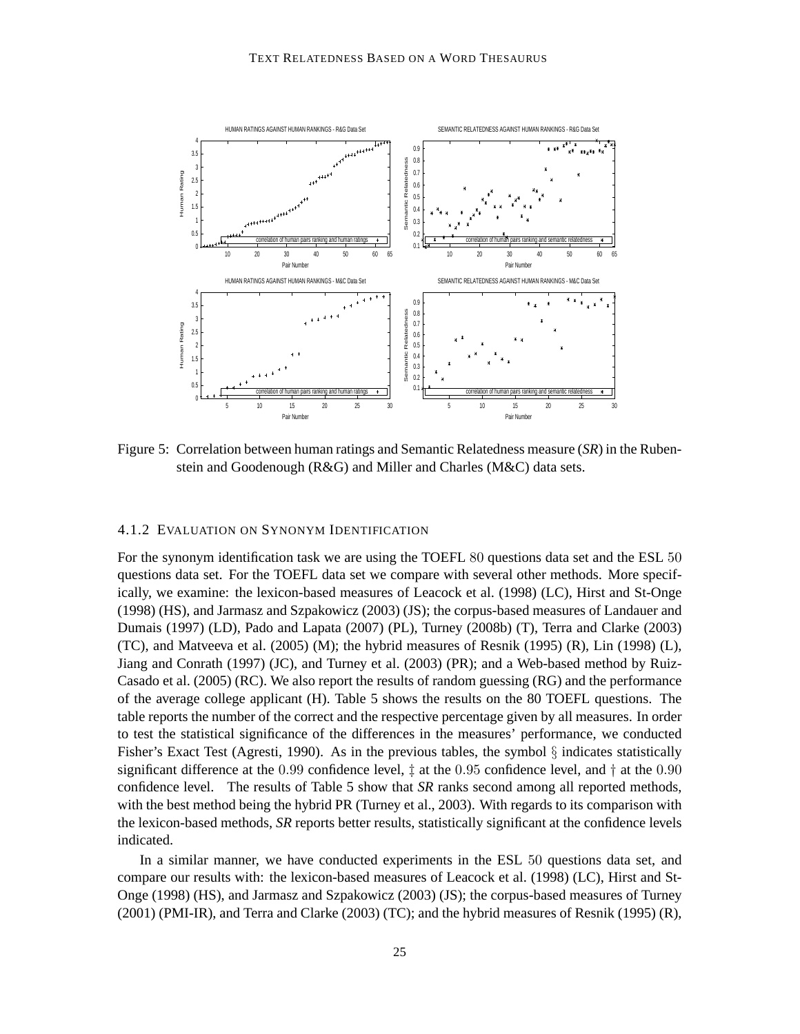

Figure 5: Correlation between human ratings and Semantic Relatedness measure (*SR*) in the Rubenstein and Goodenough (R&G) and Miller and Charles (M&C) data sets.

#### 4.1.2 EVALUATION ON SYNONYM IDENTIFICATION

For the synonym identification task we are using the TOEFL 80 questions data set and the ESL 50 questions data set. For the TOEFL data set we compare with several other methods. More specifically, we examine: the lexicon-based measures of Leacock et al. (1998) (LC), Hirst and St-Onge (1998) (HS), and Jarmasz and Szpakowicz (2003) (JS); the corpus-based measures of Landauer and Dumais (1997) (LD), Pado and Lapata (2007) (PL), Turney (2008b) (T), Terra and Clarke (2003) (TC), and Matveeva et al. (2005) (M); the hybrid measures of Resnik (1995) (R), Lin (1998) (L), Jiang and Conrath (1997) (JC), and Turney et al. (2003) (PR); and a Web-based method by Ruiz-Casado et al. (2005) (RC). We also report the results of random guessing (RG) and the performance of the average college applicant (H). Table 5 shows the results on the 80 TOEFL questions. The table reports the number of the correct and the respective percentage given by all measures. In order to test the statistical significance of the differences in the measures' performance, we conducted Fisher's Exact Test (Agresti, 1990). As in the previous tables, the symbol  $\S$  indicates statistically significant difference at the 0.99 confidence level,  $\ddagger$  at the 0.95 confidence level, and  $\ddagger$  at the 0.90 confidence level. The results of Table 5 show that *SR* ranks second among all reported methods, with the best method being the hybrid PR (Turney et al., 2003). With regards to its comparison with the lexicon-based methods, *SR* reports better results, statistically significant at the confidence levels indicated.

In a similar manner, we have conducted experiments in the ESL 50 questions data set, and compare our results with: the lexicon-based measures of Leacock et al. (1998) (LC), Hirst and St-Onge (1998) (HS), and Jarmasz and Szpakowicz (2003) (JS); the corpus-based measures of Turney (2001) (PMI-IR), and Terra and Clarke (2003) (TC); and the hybrid measures of Resnik (1995) (R),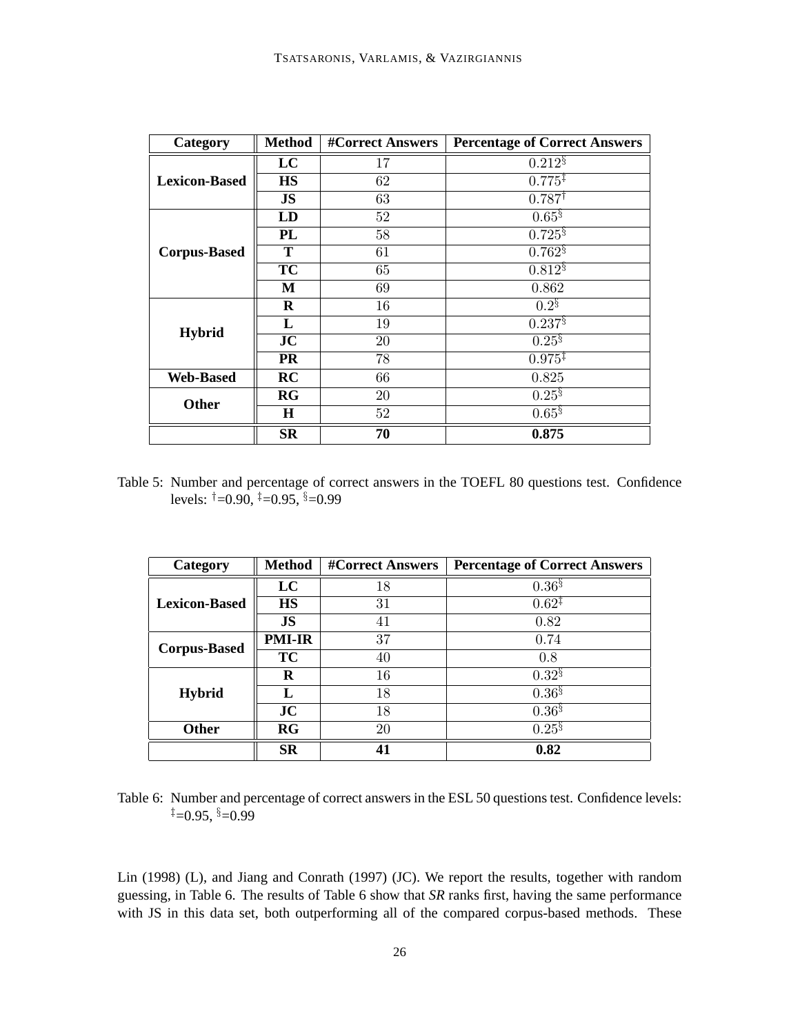| Category             | <b>Method</b>    | <b>#Correct Answers</b> | <b>Percentage of Correct Answers</b> |
|----------------------|------------------|-------------------------|--------------------------------------|
|                      | LC               | 17                      | $0.212\%$                            |
| <b>Lexicon-Based</b> | <b>HS</b>        | 62                      | $0.775^{\ddagger}$                   |
|                      | <b>JS</b>        | 63                      | $0.787^{\dagger}$                    |
|                      | LD               | 52                      | $0.65^{\S}$                          |
|                      | <b>PL</b>        | 58                      | $0.725$ <sup>§</sup>                 |
| <b>Corpus-Based</b>  | T                | 61                      | $0.762$ <sup>§</sup>                 |
|                      | <b>TC</b>        | 65                      | $0.812\%$                            |
|                      | М                | 69                      | 0.862                                |
|                      | R                | 16                      | $0.2^{\S}$                           |
| <b>Hybrid</b>        | L                | 19                      | $0.237^{8}$                          |
|                      | JC               | 20                      | $0.25^{8}$                           |
|                      | <b>PR</b>        | 78                      | $0.975^{\ddagger}$                   |
| <b>Web-Based</b>     | RC               | 66                      | 0.825                                |
| Other                | RG               | 20                      | $0.25^{8}$                           |
|                      | Н                | 52                      | $0.65$ <sup>§</sup>                  |
|                      | $S_{\mathbf{R}}$ | 70                      | 0.875                                |

Table 5: Number and percentage of correct answers in the TOEFL 80 questions test. Confidence levels:  $\uparrow$  =0.90,  $\uparrow$  =0.95,  $\S$ =0.99

| Category             | <b>Method</b> | <b>#Correct Answers</b> | <b>Percentage of Correct Answers</b> |
|----------------------|---------------|-------------------------|--------------------------------------|
|                      | LC            | 18                      | $0.36^{8}$                           |
| <b>Lexicon-Based</b> | <b>HS</b>     | 31                      | $0.62^{\ddagger}$                    |
|                      | <b>JS</b>     | 41                      | 0.82                                 |
| <b>Corpus-Based</b>  | <b>PMI-IR</b> | 37                      | 0.74                                 |
|                      | <b>TC</b>     | 40                      | 0.8                                  |
|                      | R             | 16                      | $0.32^{8}$                           |
| <b>Hybrid</b>        | Т.            | 18                      | $0.36^{8}$                           |
|                      | JC            | 18                      | $0.36^{8}$                           |
| <b>Other</b>         | RG            | 20                      | $0.25^{8}$                           |
|                      | <b>SR</b>     | 41                      | 0.82                                 |

Table 6: Number and percentage of correct answers in the ESL 50 questions test. Confidence levels:  $\uparrow = 0.95$ ,  $\uparrow = 0.99$ 

Lin (1998) (L), and Jiang and Conrath (1997) (JC). We report the results, together with random guessing, in Table 6. The results of Table 6 show that *SR* ranks first, having the same performance with JS in this data set, both outperforming all of the compared corpus-based methods. These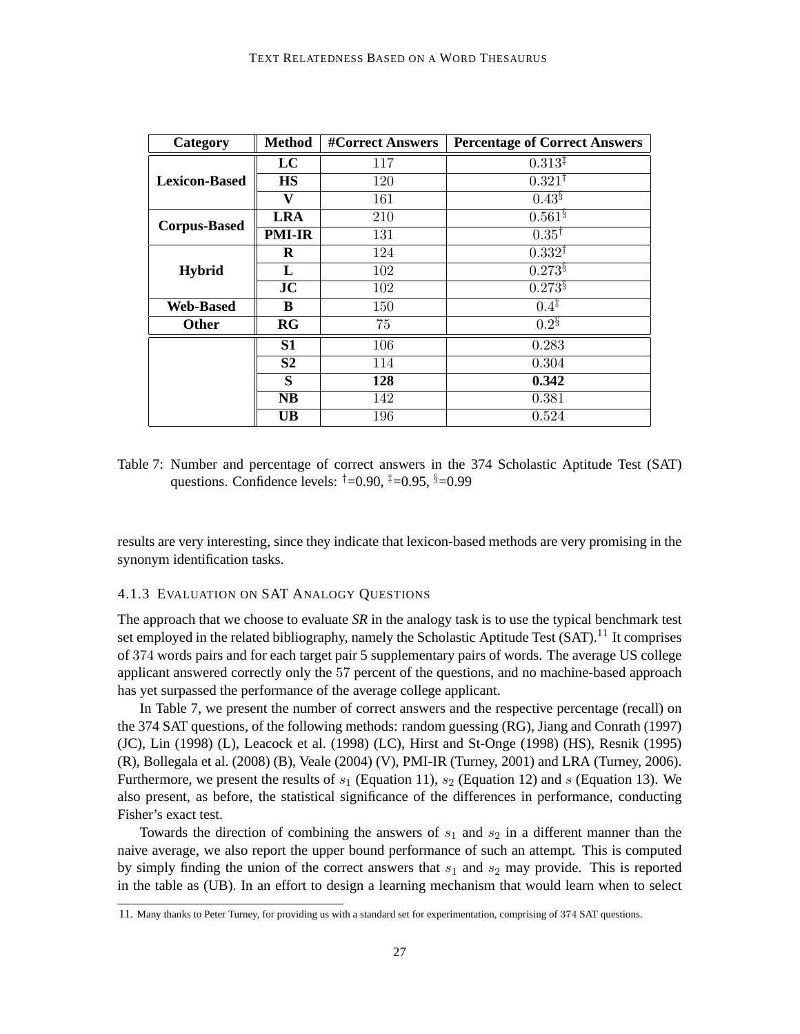| Category             | <b>Method</b>  | <b>#Correct Answers</b> | <b>Percentage of Correct Answers</b> |
|----------------------|----------------|-------------------------|--------------------------------------|
|                      | LC             | 117                     | $0.313^{\ddagger}$                   |
| <b>Lexicon-Based</b> | <b>HS</b>      | 120                     | $0.321^{\dagger}$                    |
|                      | v              | 161                     | $0.43^{\S}$                          |
| <b>Corpus-Based</b>  | <b>LRA</b>     | 210                     | $0.561\$                             |
|                      | <b>PMI-IR</b>  | 131                     | $0.35^{\dagger}$                     |
|                      | R              | 124                     | $0.332^{\dagger}$                    |
| <b>Hybrid</b>        | L              | 102                     | $0.273$ <sup>§</sup>                 |
|                      | JC             | 102                     | $0.273$ <sup>§</sup>                 |
| <b>Web-Based</b>     | B              | 150                     | $0.4^{\ddagger}$                     |
| <b>Other</b>         | RG             | 75                      | $0.2^{\S}$                           |
|                      | S <sub>1</sub> | 106                     | 0.283                                |
|                      | S <sub>2</sub> | 114                     | 0.304                                |
|                      | S              | 128                     | 0.342                                |
|                      | <b>NB</b>      | 142                     | 0.381                                |
|                      | <b>UB</b>      | 196                     | 0.524                                |

Table 7: Number and percentage of correct answers in the 374 Scholastic Aptitude Test (SAT) questions. Confidence levels:  $\dagger = 0.90$ ,  $\dagger = 0.95$ ,  $\S = 0.99$ 

results are very interesting, since they indicate that lexicon-based methods are very promising in the synonym identification tasks.

## 4.1.3 EVALUATION ON SAT ANALOGY QUESTIONS

The approach that we choose to evaluate *SR* in the analogy task is to use the typical benchmark test set employed in the related bibliography, namely the Scholastic Aptitude Test  $(SAT)$ .<sup>11</sup> It comprises of 374 words pairs and for each target pair 5 supplementary pairs of words. The average US college applicant answered correctly only the 57 percent of the questions, and no machine-based approach has yet surpassed the performance of the average college applicant.

In Table 7, we present the number of correct answers and the respective percentage (recall) on the 374 SAT questions, of the following methods: random guessing (RG), Jiang and Conrath (1997) (JC), Lin (1998) (L), Leacock et al. (1998) (LC), Hirst and St-Onge (1998) (HS), Resnik (1995) (R), Bollegala et al. (2008) (B), Veale (2004) (V), PMI-IR (Turney, 2001) and LRA (Turney, 2006). Furthermore, we present the results of  $s_1$  (Equation 11),  $s_2$  (Equation 12) and s (Equation 13). We also present, as before, the statistical significance of the differences in performance, conducting Fisher's exact test.

Towards the direction of combining the answers of  $s_1$  and  $s_2$  in a different manner than the naive average, we also report the upper bound performance of such an attempt. This is computed by simply finding the union of the correct answers that  $s_1$  and  $s_2$  may provide. This is reported in the table as (UB). In an effort to design a learning mechanism that would learn when to select

<sup>11.</sup> Many thanks to Peter Turney, for providing us with a standard set for experimentation, comprising of 374 SAT questions.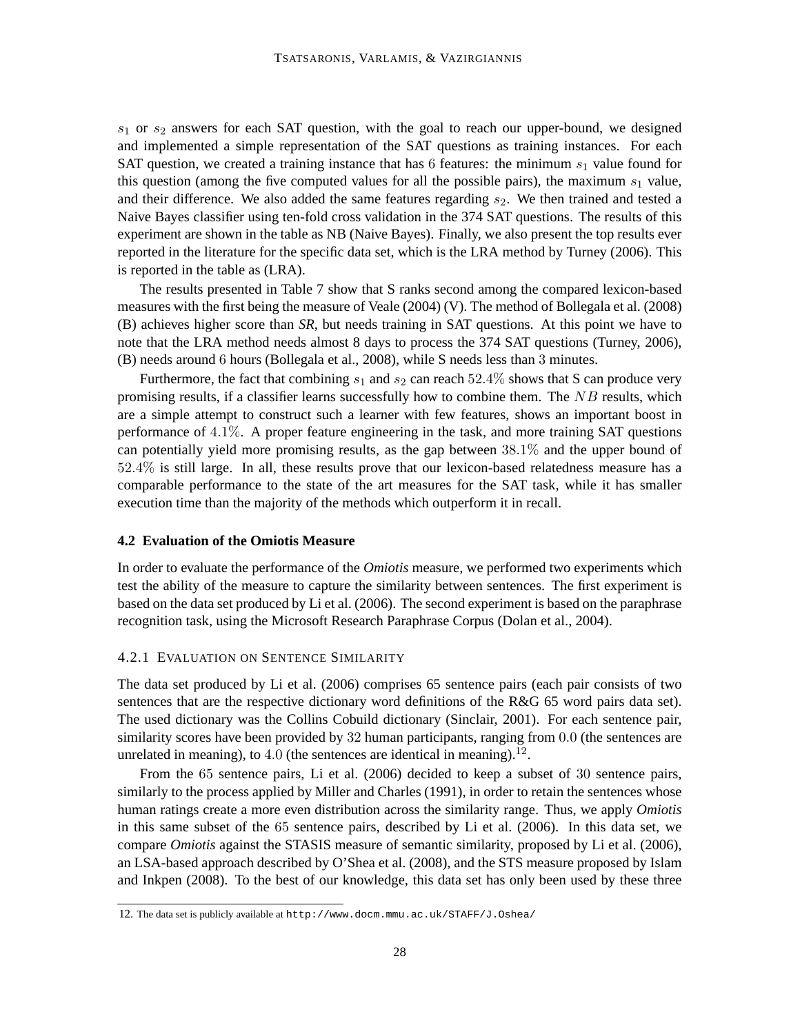$s_1$  or  $s_2$  answers for each SAT question, with the goal to reach our upper-bound, we designed and implemented a simple representation of the SAT questions as training instances. For each SAT question, we created a training instance that has 6 features: the minimum  $s<sub>1</sub>$  value found for this question (among the five computed values for all the possible pairs), the maximum  $s<sub>1</sub>$  value, and their difference. We also added the same features regarding  $s_2$ . We then trained and tested a Naive Bayes classifier using ten-fold cross validation in the 374 SAT questions. The results of this experiment are shown in the table as NB (Naive Bayes). Finally, we also present the top results ever reported in the literature for the specific data set, which is the LRA method by Turney (2006). This is reported in the table as (LRA).

The results presented in Table 7 show that S ranks second among the compared lexicon-based measures with the first being the measure of Veale (2004) (V). The method of Bollegala et al. (2008) (B) achieves higher score than *SR*, but needs training in SAT questions. At this point we have to note that the LRA method needs almost 8 days to process the 374 SAT questions (Turney, 2006), (B) needs around 6 hours (Bollegala et al., 2008), while S needs less than 3 minutes.

Furthermore, the fact that combining  $s_1$  and  $s_2$  can reach 52.4% shows that S can produce very promising results, if a classifier learns successfully how to combine them. The  $NB$  results, which are a simple attempt to construct such a learner with few features, shows an important boost in performance of 4.1%. A proper feature engineering in the task, and more training SAT questions can potentially yield more promising results, as the gap between 38.1% and the upper bound of 52.4% is still large. In all, these results prove that our lexicon-based relatedness measure has a comparable performance to the state of the art measures for the SAT task, while it has smaller execution time than the majority of the methods which outperform it in recall.

#### **4.2 Evaluation of the Omiotis Measure**

In order to evaluate the performance of the *Omiotis* measure, we performed two experiments which test the ability of the measure to capture the similarity between sentences. The first experiment is based on the data set produced by Li et al. (2006). The second experiment is based on the paraphrase recognition task, using the Microsoft Research Paraphrase Corpus (Dolan et al., 2004).

#### 4.2.1 EVALUATION ON SENTENCE SIMILARITY

The data set produced by Li et al. (2006) comprises 65 sentence pairs (each pair consists of two sentences that are the respective dictionary word definitions of the R&G 65 word pairs data set). The used dictionary was the Collins Cobuild dictionary (Sinclair, 2001). For each sentence pair, similarity scores have been provided by 32 human participants, ranging from 0.0 (the sentences are unrelated in meaning), to  $4.0$  (the sentences are identical in meaning).<sup>12</sup>.

From the 65 sentence pairs, Li et al. (2006) decided to keep a subset of 30 sentence pairs, similarly to the process applied by Miller and Charles (1991), in order to retain the sentences whose human ratings create a more even distribution across the similarity range. Thus, we apply *Omiotis* in this same subset of the 65 sentence pairs, described by Li et al. (2006). In this data set, we compare *Omiotis* against the STASIS measure of semantic similarity, proposed by Li et al. (2006), an LSA-based approach described by O'Shea et al. (2008), and the STS measure proposed by Islam and Inkpen (2008). To the best of our knowledge, this data set has only been used by these three

<sup>12.</sup> The data set is publicly available at http://www.docm.mmu.ac.uk/STAFF/J.Oshea/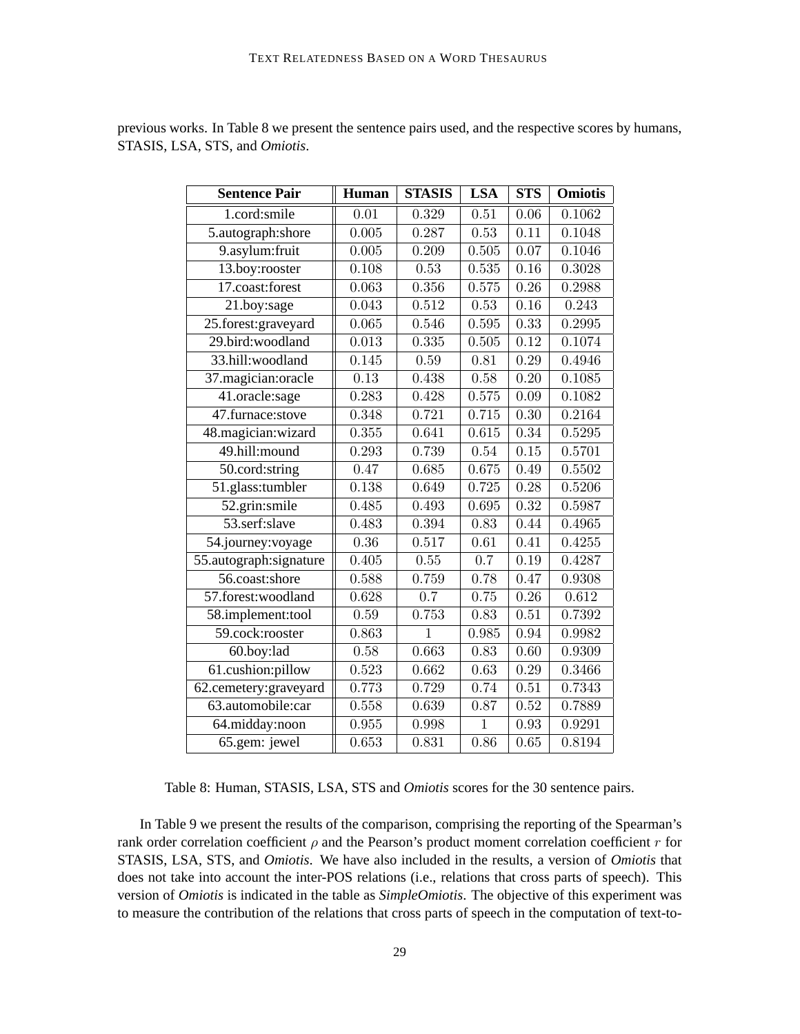| <b>Sentence Pair</b>   | Human             | <b>STASIS</b> | <b>LSA</b>        | <b>STS</b>        | <b>Omiotis</b> |
|------------------------|-------------------|---------------|-------------------|-------------------|----------------|
| 1.cord:smile           | $\overline{0.01}$ | 0.329         | $\overline{0.51}$ | $\overline{0.06}$ | 0.1062         |
| 5.autograph:shore      | 0.005             | 0.287         | 0.53              | 0.11              | 0.1048         |
| 9.asylum: fruit        | 0.005             | 0.209         | 0.505             | 0.07              | 0.1046         |
| 13.boy:rooster         | 0.108             | 0.53          | 0.535             | 0.16              | 0.3028         |
| 17.coast:forest        | 0.063             | 0.356         | 0.575             | 0.26              | 0.2988         |
| 21.boy:sage            | 0.043             | 0.512         | 0.53              | $0.16\,$          | 0.243          |
| 25.forest:graveyard    | 0.065             | 0.546         | 0.595             | 0.33              | 0.2995         |
| 29.bird:woodland       | 0.013             | 0.335         | 0.505             | 0.12              | 0.1074         |
| 33.hill:woodland       | 0.145             | 0.59          | 0.81              | 0.29              | 0.4946         |
| 37.magician:oracle     | 0.13              | 0.438         | 0.58              | 0.20              | 0.1085         |
| 41.oracle:sage         | 0.283             | 0.428         | 0.575             | 0.09              | 0.1082         |
| 47.furnace:stove       | 0.348             | 0.721         | 0.715             | $\overline{0.30}$ | 0.2164         |
| 48.magician: wizard    | 0.355             | 0.641         | 0.615             | 0.34              | 0.5295         |
| 49.hill:mound          | 0.293             | 0.739         | 0.54              | 0.15              | 0.5701         |
| 50.cord:string         | 0.47              | 0.685         | 0.675             | 0.49              | 0.5502         |
| 51.glass:tumbler       | 0.138             | 0.649         | 0.725             | 0.28              | 0.5206         |
| 52.grin:smile          | 0.485             | 0.493         | 0.695             | 0.32              | 0.5987         |
| 53.serf:slave          | 0.483             | 0.394         | 0.83              | 0.44              | 0.4965         |
| 54.journey:voyage      | 0.36              | 0.517         | 0.61              | 0.41              | 0.4255         |
| 55.autograph:signature | 0.405             | 0.55          | $\overline{0.7}$  | 0.19              | 0.4287         |
| 56.coast:shore         | 0.588             | 0.759         | 0.78              | 0.47              | 0.9308         |
| 57.forest:woodland     | 0.628             | 0.7           | 0.75              | $\overline{0.26}$ | 0.612          |
| 58.implement:tool      | 0.59              | 0.753         | 0.83              | $\overline{0.51}$ | 0.7392         |
| 59.cock:rooster        | 0.863             | $\mathbf{1}$  | 0.985             | 0.94              | 0.9982         |
| 60.boy:lad             | 0.58              | 0.663         | 0.83              | 0.60              | 0.9309         |
| 61.cushion:pillow      | 0.523             | 0.662         | 0.63              | 0.29              | 0.3466         |
| 62.cemetery:graveyard  | 0.773             | 0.729         | 0.74              | $\overline{0.51}$ | 0.7343         |
| 63.automobile:car      | 0.558             | 0.639         | 0.87              | 0.52              | 0.7889         |
| 64.midday:noon         | 0.955             | 0.998         | $\mathbf{1}$      | 0.93              | 0.9291         |
| 65.gem: jewel          | 0.653             | 0.831         | 0.86              | 0.65              | 0.8194         |

previous works. In Table 8 we present the sentence pairs used, and the respective scores by humans, STASIS, LSA, STS, and *Omiotis*.

Table 8: Human, STASIS, LSA, STS and *Omiotis* scores for the 30 sentence pairs.

In Table 9 we present the results of the comparison, comprising the reporting of the Spearman's rank order correlation coefficient  $\rho$  and the Pearson's product moment correlation coefficient  $r$  for STASIS, LSA, STS, and *Omiotis*. We have also included in the results, a version of *Omiotis* that does not take into account the inter-POS relations (i.e., relations that cross parts of speech). This version of *Omiotis* is indicated in the table as *SimpleOmiotis*. The objective of this experiment was to measure the contribution of the relations that cross parts of speech in the computation of text-to-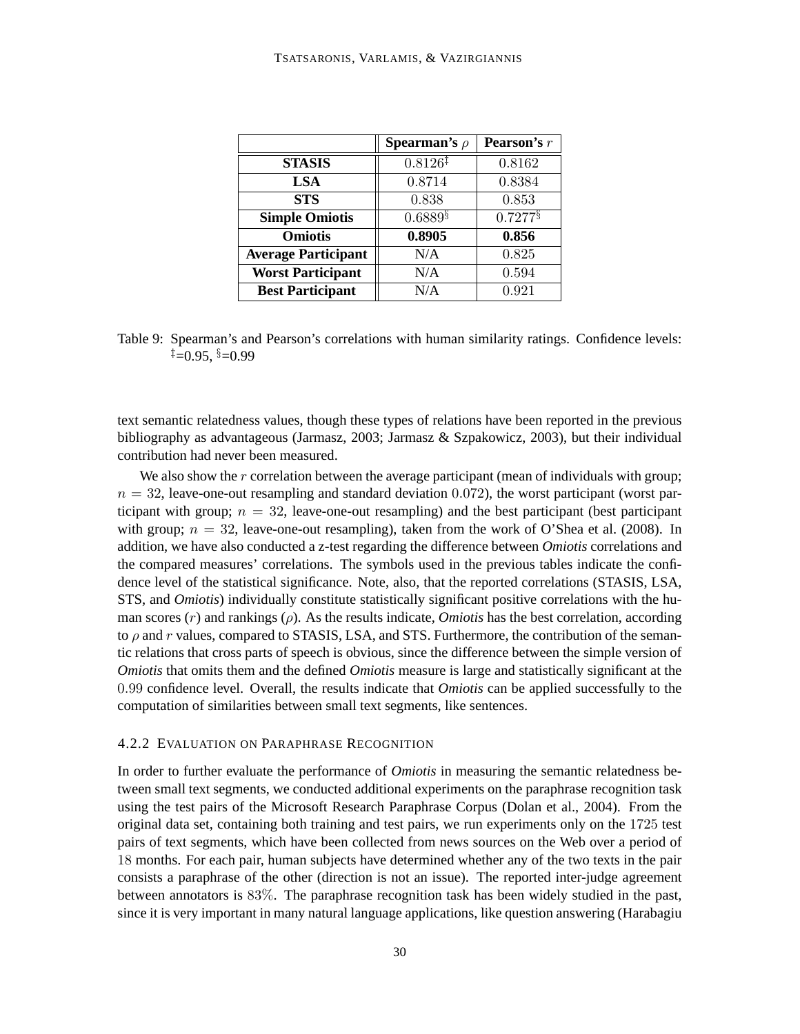|                            | <b>Spearman's</b> $\rho$ | <b>Pearson's</b> r    |
|----------------------------|--------------------------|-----------------------|
| <b>STASIS</b>              | $0.8126^{\ddagger}$      | 0.8162                |
| <b>LSA</b>                 | 0.8714                   | 0.8384                |
| <b>STS</b>                 | 0.838                    | 0.853                 |
| <b>Simple Omiotis</b>      | $0.6889$ <sup>§</sup>    | $0.7277$ <sup>§</sup> |
| <b>Omiotis</b>             | 0.8905                   | 0.856                 |
| <b>Average Participant</b> | N/A                      | 0.825                 |
| <b>Worst Participant</b>   | N/A                      | 0.594                 |
| <b>Best Participant</b>    | N/A                      | 0.921                 |

Table 9: Spearman's and Pearson's correlations with human similarity ratings. Confidence levels:  $\pm$  =0.95,  $\frac{5}{2}$ =0.99

text semantic relatedness values, though these types of relations have been reported in the previous bibliography as advantageous (Jarmasz, 2003; Jarmasz & Szpakowicz, 2003), but their individual contribution had never been measured.

We also show the  $r$  correlation between the average participant (mean of individuals with group;  $n = 32$ , leave-one-out resampling and standard deviation 0.072), the worst participant (worst participant with group;  $n = 32$ , leave-one-out resampling) and the best participant (best participant with group;  $n = 32$ , leave-one-out resampling), taken from the work of O'Shea et al. (2008). In addition, we have also conducted a z-test regarding the difference between *Omiotis* correlations and the compared measures' correlations. The symbols used in the previous tables indicate the confidence level of the statistical significance. Note, also, that the reported correlations (STASIS, LSA, STS, and *Omiotis*) individually constitute statistically significant positive correlations with the human scores  $(r)$  and rankings  $(\rho)$ . As the results indicate, *Omiotis* has the best correlation, according to  $\rho$  and  $r$  values, compared to STASIS, LSA, and STS. Furthermore, the contribution of the semantic relations that cross parts of speech is obvious, since the difference between the simple version of *Omiotis* that omits them and the defined *Omiotis* measure is large and statistically significant at the 0.99 confidence level. Overall, the results indicate that *Omiotis* can be applied successfully to the computation of similarities between small text segments, like sentences.

#### 4.2.2 EVALUATION ON PARAPHRASE RECOGNITION

In order to further evaluate the performance of *Omiotis* in measuring the semantic relatedness between small text segments, we conducted additional experiments on the paraphrase recognition task using the test pairs of the Microsoft Research Paraphrase Corpus (Dolan et al., 2004). From the original data set, containing both training and test pairs, we run experiments only on the 1725 test pairs of text segments, which have been collected from news sources on the Web over a period of 18 months. For each pair, human subjects have determined whether any of the two texts in the pair consists a paraphrase of the other (direction is not an issue). The reported inter-judge agreement between annotators is 83%. The paraphrase recognition task has been widely studied in the past, since it is very important in many natural language applications, like question answering (Harabagiu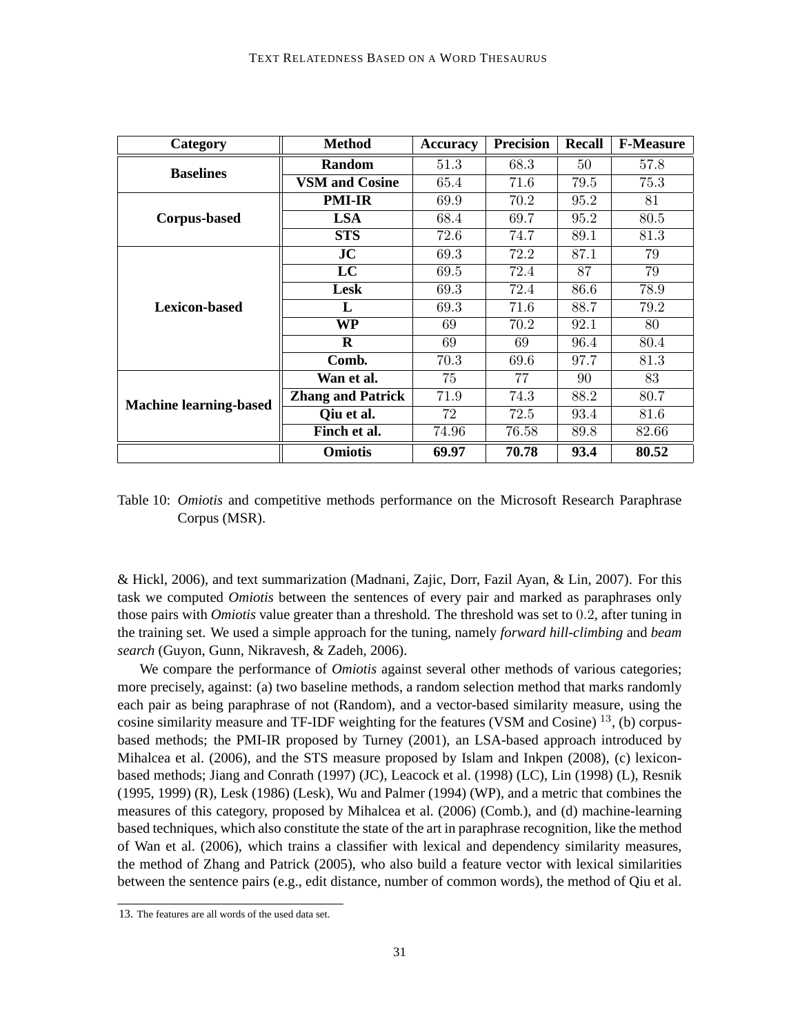| Category                      | <b>Method</b>            | <b>Accuracy</b> | <b>Precision</b> | <b>Recall</b> | <b>F-Measure</b> |
|-------------------------------|--------------------------|-----------------|------------------|---------------|------------------|
| <b>Baselines</b>              | <b>Random</b>            | 51.3            | 68.3             | 50            | 57.8             |
|                               | <b>VSM and Cosine</b>    | 65.4            | 71.6             | 79.5          | 75.3             |
|                               | <b>PMI-IR</b>            | 69.9            | 70.2             | 95.2          | 81               |
| <b>Corpus-based</b>           | <b>LSA</b>               | 68.4            | 69.7             | 95.2          | 80.5             |
|                               | <b>STS</b>               | 72.6            | 74.7             | 89.1          | 81.3             |
|                               | JC                       | 69.3            | 72.2             | 87.1          | 79               |
| <b>Lexicon-based</b>          | LC                       | 69.5            | 72.4             | 87            | 79               |
|                               | Lesk                     | 69.3            | 72.4             | 86.6          | 78.9             |
|                               | L                        | 69.3            | 71.6             | 88.7          | 79.2             |
|                               | <b>WP</b>                | 69              | 70.2             | 92.1          | 80               |
|                               | $\mathbf R$              | 69              | 69               | 96.4          | 80.4             |
|                               | Comb.                    | 70.3            | 69.6             | 97.7          | 81.3             |
|                               | Wan et al.               | 75              | 77               | 90            | 83               |
| <b>Machine learning-based</b> | <b>Zhang and Patrick</b> | 71.9            | 74.3             | 88.2          | 80.7             |
|                               | Qiu et al.               | 72              | 72.5             | 93.4          | 81.6             |
|                               | Finch et al.             | 74.96           | 76.58            | 89.8          | 82.66            |
|                               | <b>Omiotis</b>           | 69.97           | 70.78            | 93.4          | 80.52            |

Table 10: *Omiotis* and competitive methods performance on the Microsoft Research Paraphrase Corpus (MSR).

& Hickl, 2006), and text summarization (Madnani, Zajic, Dorr, Fazil Ayan, & Lin, 2007). For this task we computed *Omiotis* between the sentences of every pair and marked as paraphrases only those pairs with *Omiotis* value greater than a threshold. The threshold was set to 0.2, after tuning in the training set. We used a simple approach for the tuning, namely *forward hill-climbing* and *beam search* (Guyon, Gunn, Nikravesh, & Zadeh, 2006).

We compare the performance of *Omiotis* against several other methods of various categories; more precisely, against: (a) two baseline methods, a random selection method that marks randomly each pair as being paraphrase of not (Random), and a vector-based similarity measure, using the cosine similarity measure and TF-IDF weighting for the features (VSM and Cosine) <sup>13</sup>, (b) corpusbased methods; the PMI-IR proposed by Turney (2001), an LSA-based approach introduced by Mihalcea et al. (2006), and the STS measure proposed by Islam and Inkpen (2008), (c) lexiconbased methods; Jiang and Conrath (1997) (JC), Leacock et al. (1998) (LC), Lin (1998) (L), Resnik (1995, 1999) (R), Lesk (1986) (Lesk), Wu and Palmer (1994) (WP), and a metric that combines the measures of this category, proposed by Mihalcea et al. (2006) (Comb.), and (d) machine-learning based techniques, which also constitute the state of the art in paraphrase recognition, like the method of Wan et al. (2006), which trains a classifier with lexical and dependency similarity measures, the method of Zhang and Patrick (2005), who also build a feature vector with lexical similarities between the sentence pairs (e.g., edit distance, number of common words), the method of Qiu et al.

<sup>13.</sup> The features are all words of the used data set.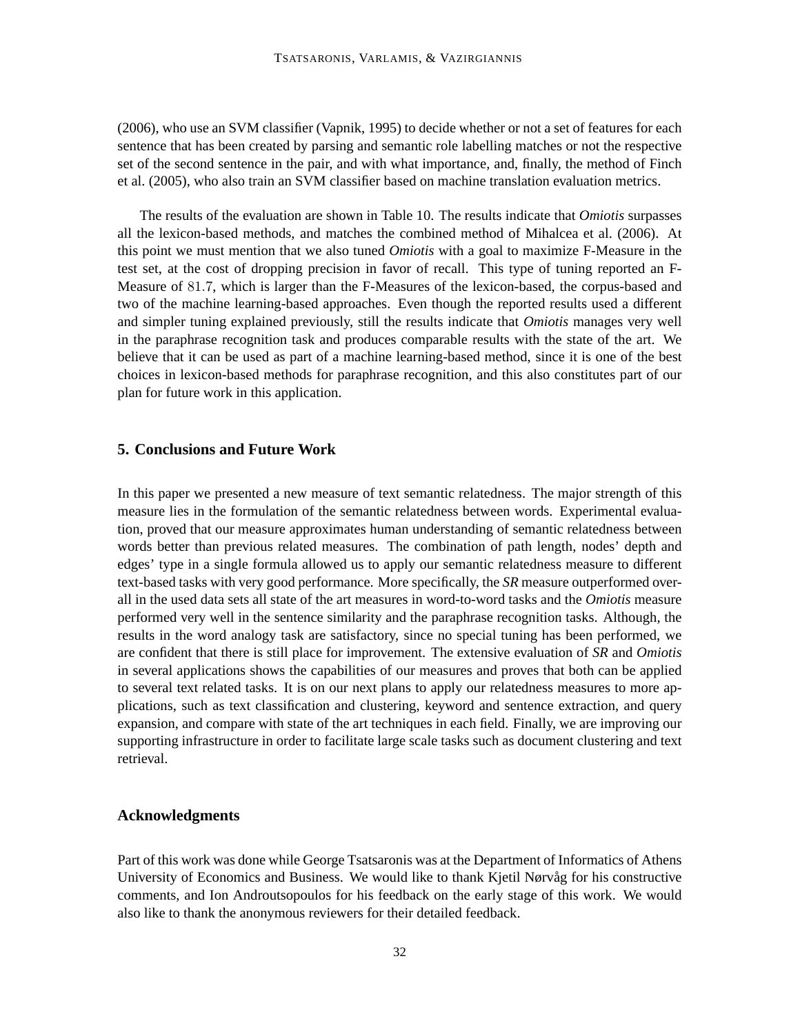(2006), who use an SVM classifier (Vapnik, 1995) to decide whether or not a set of features for each sentence that has been created by parsing and semantic role labelling matches or not the respective set of the second sentence in the pair, and with what importance, and, finally, the method of Finch et al. (2005), who also train an SVM classifier based on machine translation evaluation metrics.

The results of the evaluation are shown in Table 10. The results indicate that *Omiotis* surpasses all the lexicon-based methods, and matches the combined method of Mihalcea et al. (2006). At this point we must mention that we also tuned *Omiotis* with a goal to maximize F-Measure in the test set, at the cost of dropping precision in favor of recall. This type of tuning reported an F-Measure of 81.7, which is larger than the F-Measures of the lexicon-based, the corpus-based and two of the machine learning-based approaches. Even though the reported results used a different and simpler tuning explained previously, still the results indicate that *Omiotis* manages very well in the paraphrase recognition task and produces comparable results with the state of the art. We believe that it can be used as part of a machine learning-based method, since it is one of the best choices in lexicon-based methods for paraphrase recognition, and this also constitutes part of our plan for future work in this application.

## **5. Conclusions and Future Work**

In this paper we presented a new measure of text semantic relatedness. The major strength of this measure lies in the formulation of the semantic relatedness between words. Experimental evaluation, proved that our measure approximates human understanding of semantic relatedness between words better than previous related measures. The combination of path length, nodes' depth and edges' type in a single formula allowed us to apply our semantic relatedness measure to different text-based tasks with very good performance. More specifically, the *SR* measure outperformed overall in the used data sets all state of the art measures in word-to-word tasks and the *Omiotis* measure performed very well in the sentence similarity and the paraphrase recognition tasks. Although, the results in the word analogy task are satisfactory, since no special tuning has been performed, we are confident that there is still place for improvement. The extensive evaluation of *SR* and *Omiotis* in several applications shows the capabilities of our measures and proves that both can be applied to several text related tasks. It is on our next plans to apply our relatedness measures to more applications, such as text classification and clustering, keyword and sentence extraction, and query expansion, and compare with state of the art techniques in each field. Finally, we are improving our supporting infrastructure in order to facilitate large scale tasks such as document clustering and text retrieval.

## **Acknowledgments**

Part of this work was done while George Tsatsaronis was at the Department of Informatics of Athens University of Economics and Business. We would like to thank Kjetil Nørvåg for his constructive comments, and Ion Androutsopoulos for his feedback on the early stage of this work. We would also like to thank the anonymous reviewers for their detailed feedback.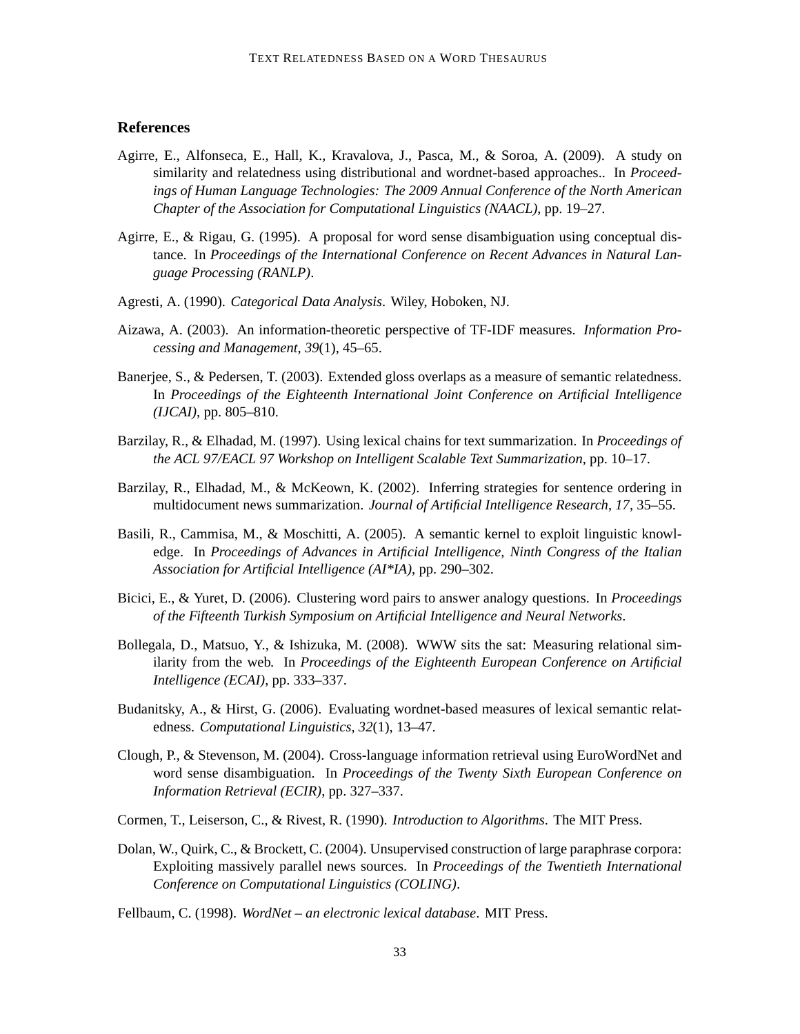## **References**

- Agirre, E., Alfonseca, E., Hall, K., Kravalova, J., Pasca, M., & Soroa, A. (2009). A study on similarity and relatedness using distributional and wordnet-based approaches.. In *Proceedings of Human Language Technologies: The 2009 Annual Conference of the North American Chapter of the Association for Computational Linguistics (NAACL)*, pp. 19–27.
- Agirre, E., & Rigau, G. (1995). A proposal for word sense disambiguation using conceptual distance. In *Proceedings of the International Conference on Recent Advances in Natural Language Processing (RANLP)*.
- Agresti, A. (1990). *Categorical Data Analysis*. Wiley, Hoboken, NJ.
- Aizawa, A. (2003). An information-theoretic perspective of TF-IDF measures. *Information Processing and Management*, *39*(1), 45–65.
- Banerjee, S., & Pedersen, T. (2003). Extended gloss overlaps as a measure of semantic relatedness. In *Proceedings of the Eighteenth International Joint Conference on Artificial Intelligence (IJCAI)*, pp. 805–810.
- Barzilay, R., & Elhadad, M. (1997). Using lexical chains for text summarization. In *Proceedings of the ACL 97/EACL 97 Workshop on Intelligent Scalable Text Summarization*, pp. 10–17.
- Barzilay, R., Elhadad, M., & McKeown, K. (2002). Inferring strategies for sentence ordering in multidocument news summarization. *Journal of Artificial Intelligence Research*, *17*, 35–55.
- Basili, R., Cammisa, M., & Moschitti, A. (2005). A semantic kernel to exploit linguistic knowledge. In *Proceedings of Advances in Artificial Intelligence, Ninth Congress of the Italian Association for Artificial Intelligence (AI\*IA)*, pp. 290–302.
- Bicici, E., & Yuret, D. (2006). Clustering word pairs to answer analogy questions. In *Proceedings of the Fifteenth Turkish Symposium on Artificial Intelligence and Neural Networks*.
- Bollegala, D., Matsuo, Y., & Ishizuka, M. (2008). WWW sits the sat: Measuring relational similarity from the web. In *Proceedings of the Eighteenth European Conference on Artificial Intelligence (ECAI)*, pp. 333–337.
- Budanitsky, A., & Hirst, G. (2006). Evaluating wordnet-based measures of lexical semantic relatedness. *Computational Linguistics*, *32*(1), 13–47.
- Clough, P., & Stevenson, M. (2004). Cross-language information retrieval using EuroWordNet and word sense disambiguation. In *Proceedings of the Twenty Sixth European Conference on Information Retrieval (ECIR)*, pp. 327–337.
- Cormen, T., Leiserson, C., & Rivest, R. (1990). *Introduction to Algorithms*. The MIT Press.
- Dolan, W., Quirk, C., & Brockett, C. (2004). Unsupervised construction of large paraphrase corpora: Exploiting massively parallel news sources. In *Proceedings of the Twentieth International Conference on Computational Linguistics (COLING)*.
- Fellbaum, C. (1998). *WordNet an electronic lexical database*. MIT Press.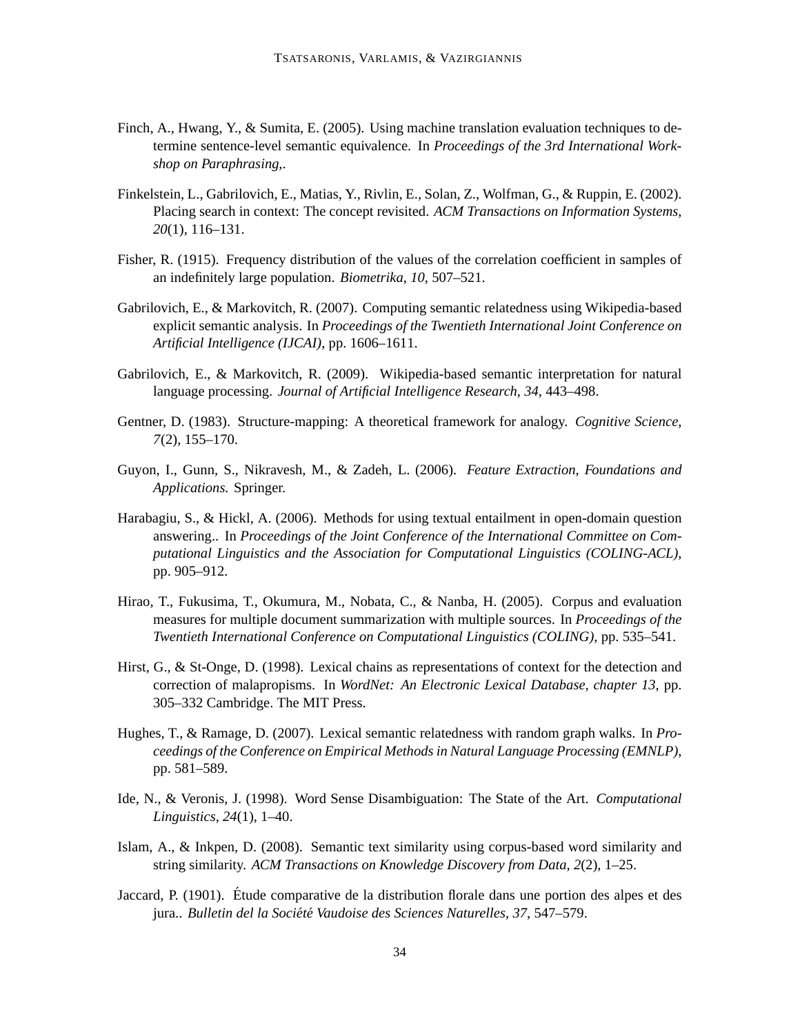- Finch, A., Hwang, Y., & Sumita, E. (2005). Using machine translation evaluation techniques to determine sentence-level semantic equivalence. In *Proceedings of the 3rd International Workshop on Paraphrasing,*.
- Finkelstein, L., Gabrilovich, E., Matias, Y., Rivlin, E., Solan, Z., Wolfman, G., & Ruppin, E. (2002). Placing search in context: The concept revisited. *ACM Transactions on Information Systems*, *20*(1), 116–131.
- Fisher, R. (1915). Frequency distribution of the values of the correlation coefficient in samples of an indefinitely large population. *Biometrika*, *10*, 507–521.
- Gabrilovich, E., & Markovitch, R. (2007). Computing semantic relatedness using Wikipedia-based explicit semantic analysis. In *Proceedings of the Twentieth International Joint Conference on Artificial Intelligence (IJCAI)*, pp. 1606–1611.
- Gabrilovich, E., & Markovitch, R. (2009). Wikipedia-based semantic interpretation for natural language processing. *Journal of Artificial Intelligence Research*, *34*, 443–498.
- Gentner, D. (1983). Structure-mapping: A theoretical framework for analogy. *Cognitive Science*, *7*(2), 155–170.
- Guyon, I., Gunn, S., Nikravesh, M., & Zadeh, L. (2006). *Feature Extraction, Foundations and Applications.* Springer.
- Harabagiu, S., & Hickl, A. (2006). Methods for using textual entailment in open-domain question answering.. In *Proceedings of the Joint Conference of the International Committee on Computational Linguistics and the Association for Computational Linguistics (COLING-ACL)*, pp. 905–912.
- Hirao, T., Fukusima, T., Okumura, M., Nobata, C., & Nanba, H. (2005). Corpus and evaluation measures for multiple document summarization with multiple sources. In *Proceedings of the Twentieth International Conference on Computational Linguistics (COLING)*, pp. 535–541.
- Hirst, G., & St-Onge, D. (1998). Lexical chains as representations of context for the detection and correction of malapropisms. In *WordNet: An Electronic Lexical Database, chapter 13*, pp. 305–332 Cambridge. The MIT Press.
- Hughes, T., & Ramage, D. (2007). Lexical semantic relatedness with random graph walks. In *Proceedings of the Conference on Empirical Methods in Natural Language Processing (EMNLP)*, pp. 581–589.
- Ide, N., & Veronis, J. (1998). Word Sense Disambiguation: The State of the Art. *Computational Linguistics*, *24*(1), 1–40.
- Islam, A., & Inkpen, D. (2008). Semantic text similarity using corpus-based word similarity and string similarity. *ACM Transactions on Knowledge Discovery from Data*, *2*(2), 1–25.
- Jaccard, P. (1901). Étude comparative de la distribution florale dans une portion des alpes et des jura.. *Bulletin del la Societ´ e Vaudoise des Sciences Naturelles ´* , *37*, 547–579.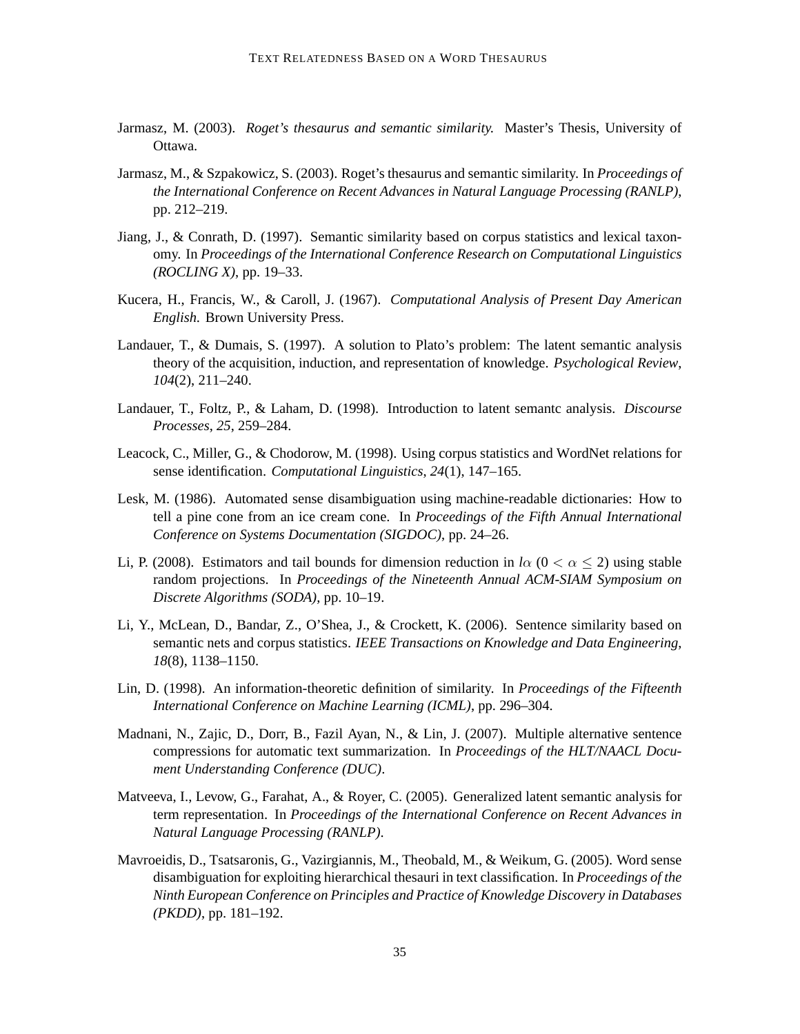- Jarmasz, M. (2003). *Roget's thesaurus and semantic similarity.* Master's Thesis, University of Ottawa.
- Jarmasz, M., & Szpakowicz, S. (2003). Roget's thesaurus and semantic similarity. In *Proceedings of the International Conference on Recent Advances in Natural Language Processing (RANLP)*, pp. 212–219.
- Jiang, J., & Conrath, D. (1997). Semantic similarity based on corpus statistics and lexical taxonomy. In *Proceedings of the International Conference Research on Computational Linguistics (ROCLING X)*, pp. 19–33.
- Kucera, H., Francis, W., & Caroll, J. (1967). *Computational Analysis of Present Day American English.* Brown University Press.
- Landauer, T., & Dumais, S. (1997). A solution to Plato's problem: The latent semantic analysis theory of the acquisition, induction, and representation of knowledge. *Psychological Review*, *104*(2), 211–240.
- Landauer, T., Foltz, P., & Laham, D. (1998). Introduction to latent semantc analysis. *Discourse Processes*, *25*, 259–284.
- Leacock, C., Miller, G., & Chodorow, M. (1998). Using corpus statistics and WordNet relations for sense identification. *Computational Linguistics*, *24*(1), 147–165.
- Lesk, M. (1986). Automated sense disambiguation using machine-readable dictionaries: How to tell a pine cone from an ice cream cone. In *Proceedings of the Fifth Annual International Conference on Systems Documentation (SIGDOC)*, pp. 24–26.
- Li, P. (2008). Estimators and tail bounds for dimension reduction in  $l\alpha$  ( $0 < \alpha < 2$ ) using stable random projections. In *Proceedings of the Nineteenth Annual ACM-SIAM Symposium on Discrete Algorithms (SODA)*, pp. 10–19.
- Li, Y., McLean, D., Bandar, Z., O'Shea, J., & Crockett, K. (2006). Sentence similarity based on semantic nets and corpus statistics. *IEEE Transactions on Knowledge and Data Engineering*, *18*(8), 1138–1150.
- Lin, D. (1998). An information-theoretic definition of similarity. In *Proceedings of the Fifteenth International Conference on Machine Learning (ICML)*, pp. 296–304.
- Madnani, N., Zajic, D., Dorr, B., Fazil Ayan, N., & Lin, J. (2007). Multiple alternative sentence compressions for automatic text summarization. In *Proceedings of the HLT/NAACL Document Understanding Conference (DUC)*.
- Matveeva, I., Levow, G., Farahat, A., & Royer, C. (2005). Generalized latent semantic analysis for term representation. In *Proceedings of the International Conference on Recent Advances in Natural Language Processing (RANLP)*.
- Mavroeidis, D., Tsatsaronis, G., Vazirgiannis, M., Theobald, M., & Weikum, G. (2005). Word sense disambiguation for exploiting hierarchical thesauri in text classification. In *Proceedings of the Ninth European Conference on Principles and Practice of Knowledge Discovery in Databases (PKDD)*, pp. 181–192.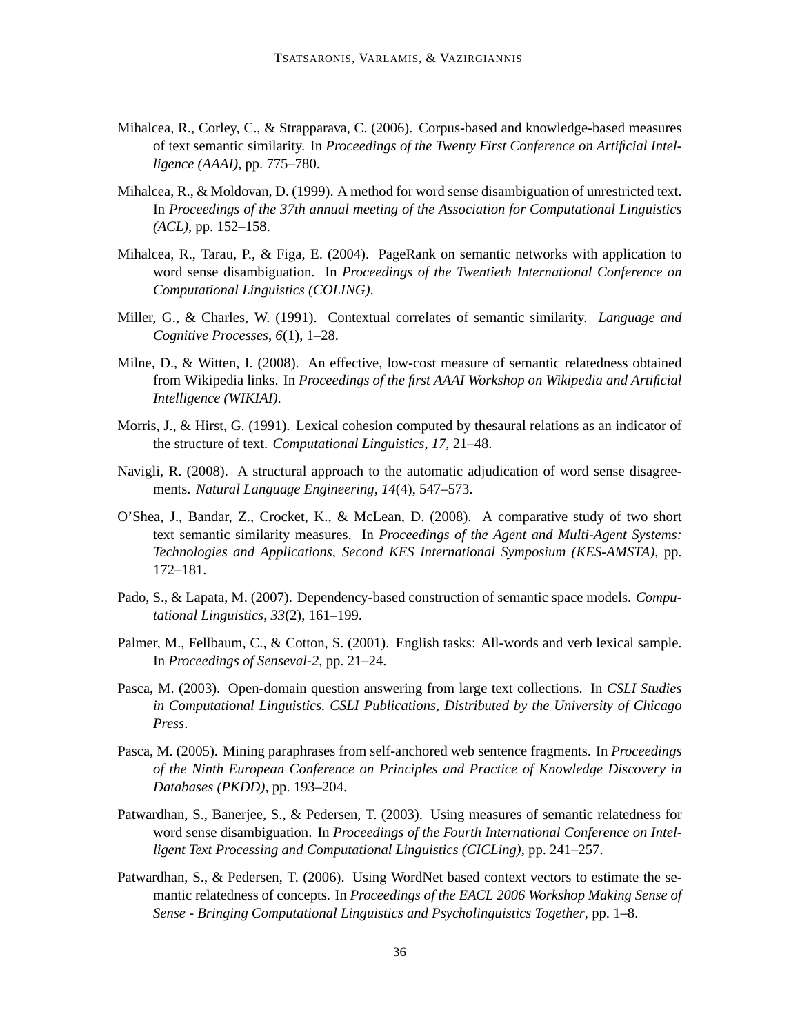- Mihalcea, R., Corley, C., & Strapparava, C. (2006). Corpus-based and knowledge-based measures of text semantic similarity. In *Proceedings of the Twenty First Conference on Artificial Intelligence (AAAI)*, pp. 775–780.
- Mihalcea, R., & Moldovan, D. (1999). A method for word sense disambiguation of unrestricted text. In *Proceedings of the 37th annual meeting of the Association for Computational Linguistics (ACL)*, pp. 152–158.
- Mihalcea, R., Tarau, P., & Figa, E. (2004). PageRank on semantic networks with application to word sense disambiguation. In *Proceedings of the Twentieth International Conference on Computational Linguistics (COLING)*.
- Miller, G., & Charles, W. (1991). Contextual correlates of semantic similarity. *Language and Cognitive Processes*, *6*(1), 1–28.
- Milne, D., & Witten, I. (2008). An effective, low-cost measure of semantic relatedness obtained from Wikipedia links. In *Proceedings of the first AAAI Workshop on Wikipedia and Artificial Intelligence (WIKIAI)*.
- Morris, J., & Hirst, G. (1991). Lexical cohesion computed by thesaural relations as an indicator of the structure of text. *Computational Linguistics*, *17*, 21–48.
- Navigli, R. (2008). A structural approach to the automatic adjudication of word sense disagreements. *Natural Language Engineering*, *14*(4), 547–573.
- O'Shea, J., Bandar, Z., Crocket, K., & McLean, D. (2008). A comparative study of two short text semantic similarity measures. In *Proceedings of the Agent and Multi-Agent Systems: Technologies and Applications, Second KES International Symposium (KES-AMSTA)*, pp. 172–181.
- Pado, S., & Lapata, M. (2007). Dependency-based construction of semantic space models. *Computational Linguistics*, *33*(2), 161–199.
- Palmer, M., Fellbaum, C., & Cotton, S. (2001). English tasks: All-words and verb lexical sample. In *Proceedings of Senseval-2*, pp. 21–24.
- Pasca, M. (2003). Open-domain question answering from large text collections. In *CSLI Studies in Computational Linguistics. CSLI Publications, Distributed by the University of Chicago Press*.
- Pasca, M. (2005). Mining paraphrases from self-anchored web sentence fragments. In *Proceedings of the Ninth European Conference on Principles and Practice of Knowledge Discovery in Databases (PKDD)*, pp. 193–204.
- Patwardhan, S., Banerjee, S., & Pedersen, T. (2003). Using measures of semantic relatedness for word sense disambiguation. In *Proceedings of the Fourth International Conference on Intelligent Text Processing and Computational Linguistics (CICLing)*, pp. 241–257.
- Patwardhan, S., & Pedersen, T. (2006). Using WordNet based context vectors to estimate the semantic relatedness of concepts. In *Proceedings of the EACL 2006 Workshop Making Sense of Sense - Bringing Computational Linguistics and Psycholinguistics Together*, pp. 1–8.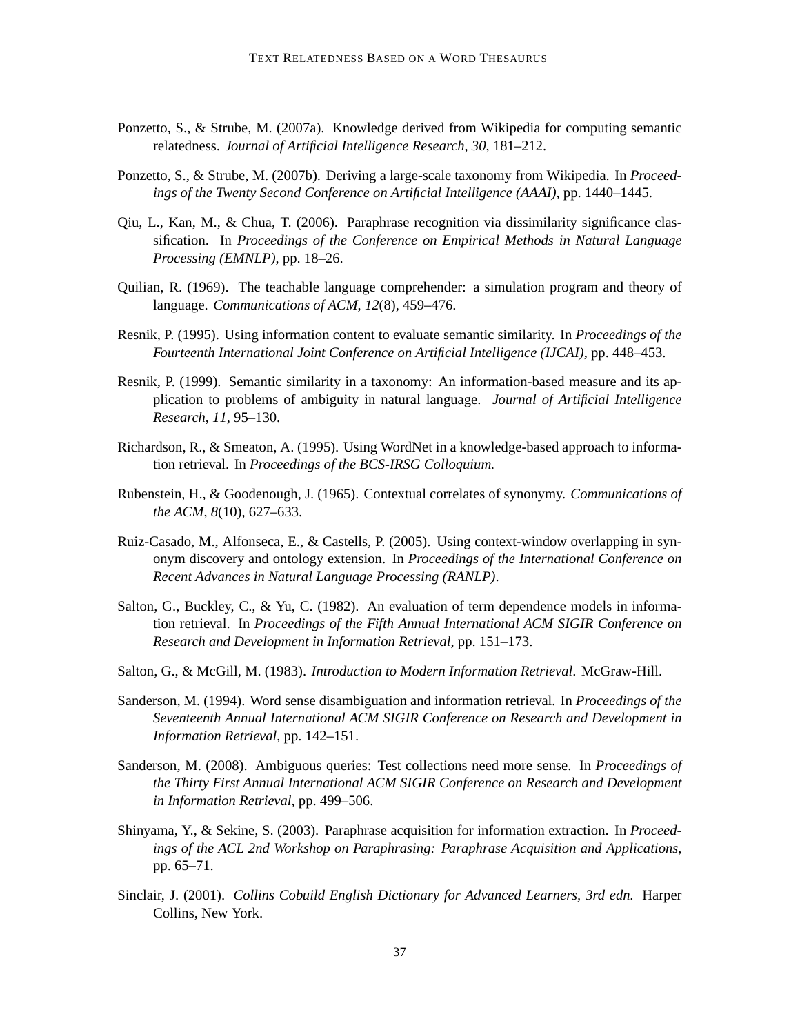- Ponzetto, S., & Strube, M. (2007a). Knowledge derived from Wikipedia for computing semantic relatedness. *Journal of Artificial Intelligence Research*, *30*, 181–212.
- Ponzetto, S., & Strube, M. (2007b). Deriving a large-scale taxonomy from Wikipedia. In *Proceedings of the Twenty Second Conference on Artificial Intelligence (AAAI)*, pp. 1440–1445.
- Qiu, L., Kan, M., & Chua, T. (2006). Paraphrase recognition via dissimilarity significance classification. In *Proceedings of the Conference on Empirical Methods in Natural Language Processing (EMNLP)*, pp. 18–26.
- Quilian, R. (1969). The teachable language comprehender: a simulation program and theory of language. *Communications of ACM*, *12*(8), 459–476.
- Resnik, P. (1995). Using information content to evaluate semantic similarity. In *Proceedings of the Fourteenth International Joint Conference on Artificial Intelligence (IJCAI)*, pp. 448–453.
- Resnik, P. (1999). Semantic similarity in a taxonomy: An information-based measure and its application to problems of ambiguity in natural language. *Journal of Artificial Intelligence Research*, *11*, 95–130.
- Richardson, R., & Smeaton, A. (1995). Using WordNet in a knowledge-based approach to information retrieval. In *Proceedings of the BCS-IRSG Colloquium.*
- Rubenstein, H., & Goodenough, J. (1965). Contextual correlates of synonymy. *Communications of the ACM*, *8*(10), 627–633.
- Ruiz-Casado, M., Alfonseca, E., & Castells, P. (2005). Using context-window overlapping in synonym discovery and ontology extension. In *Proceedings of the International Conference on Recent Advances in Natural Language Processing (RANLP)*.
- Salton, G., Buckley, C., & Yu, C. (1982). An evaluation of term dependence models in information retrieval. In *Proceedings of the Fifth Annual International ACM SIGIR Conference on Research and Development in Information Retrieval*, pp. 151–173.
- Salton, G., & McGill, M. (1983). *Introduction to Modern Information Retrieval*. McGraw-Hill.
- Sanderson, M. (1994). Word sense disambiguation and information retrieval. In *Proceedings of the Seventeenth Annual International ACM SIGIR Conference on Research and Development in Information Retrieval*, pp. 142–151.
- Sanderson, M. (2008). Ambiguous queries: Test collections need more sense. In *Proceedings of the Thirty First Annual International ACM SIGIR Conference on Research and Development in Information Retrieval*, pp. 499–506.
- Shinyama, Y., & Sekine, S. (2003). Paraphrase acquisition for information extraction. In *Proceedings of the ACL 2nd Workshop on Paraphrasing: Paraphrase Acquisition and Applications*, pp. 65–71.
- Sinclair, J. (2001). *Collins Cobuild English Dictionary for Advanced Learners, 3rd edn.* Harper Collins, New York.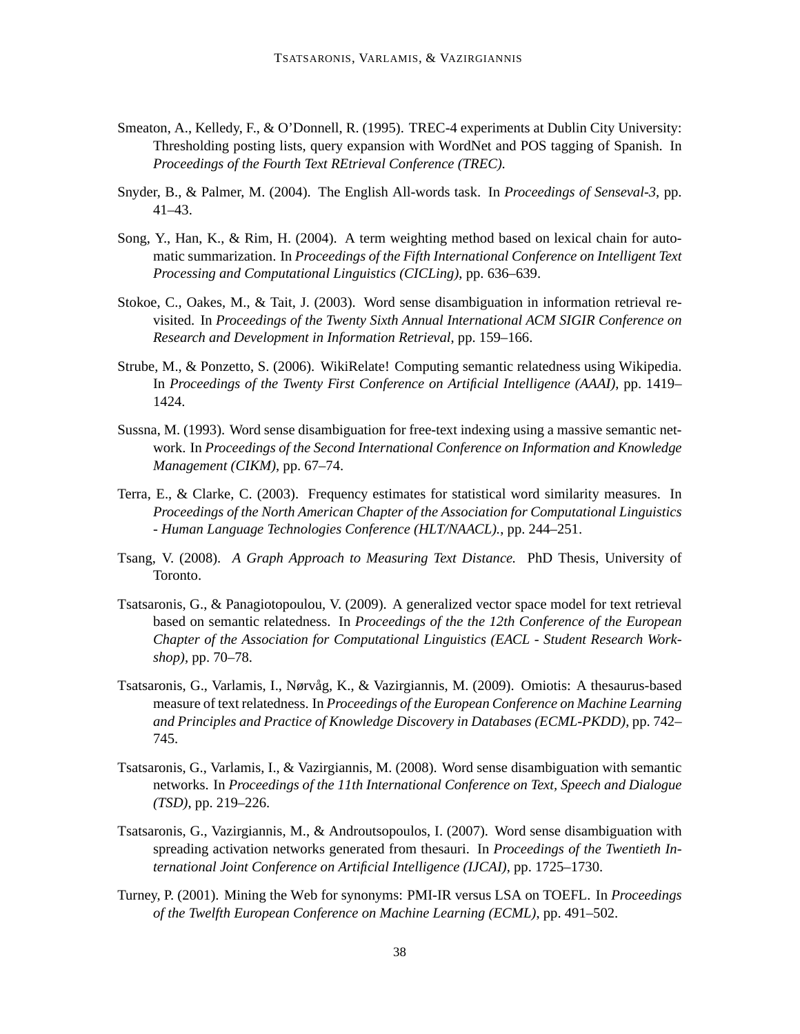- Smeaton, A., Kelledy, F., & O'Donnell, R. (1995). TREC-4 experiments at Dublin City University: Thresholding posting lists, query expansion with WordNet and POS tagging of Spanish. In *Proceedings of the Fourth Text REtrieval Conference (TREC).*
- Snyder, B., & Palmer, M. (2004). The English All-words task. In *Proceedings of Senseval-3*, pp. 41–43.
- Song, Y., Han, K., & Rim, H. (2004). A term weighting method based on lexical chain for automatic summarization. In *Proceedings of the Fifth International Conference on Intelligent Text Processing and Computational Linguistics (CICLing)*, pp. 636–639.
- Stokoe, C., Oakes, M., & Tait, J. (2003). Word sense disambiguation in information retrieval revisited. In *Proceedings of the Twenty Sixth Annual International ACM SIGIR Conference on Research and Development in Information Retrieval*, pp. 159–166.
- Strube, M., & Ponzetto, S. (2006). WikiRelate! Computing semantic relatedness using Wikipedia. In *Proceedings of the Twenty First Conference on Artificial Intelligence (AAAI)*, pp. 1419– 1424.
- Sussna, M. (1993). Word sense disambiguation for free-text indexing using a massive semantic network. In *Proceedings of the Second International Conference on Information and Knowledge Management (CIKM)*, pp. 67–74.
- Terra, E., & Clarke, C. (2003). Frequency estimates for statistical word similarity measures. In *Proceedings of the North American Chapter of the Association for Computational Linguistics - Human Language Technologies Conference (HLT/NAACL).*, pp. 244–251.
- Tsang, V. (2008). *A Graph Approach to Measuring Text Distance.* PhD Thesis, University of Toronto.
- Tsatsaronis, G., & Panagiotopoulou, V. (2009). A generalized vector space model for text retrieval based on semantic relatedness. In *Proceedings of the the 12th Conference of the European Chapter of the Association for Computational Linguistics (EACL - Student Research Workshop)*, pp. 70–78.
- Tsatsaronis, G., Varlamis, I., Nørvag, K., & Vazirgiannis, M. (2009). Omiotis: A thesaurus-based ˚ measure of text relatedness. In *Proceedings of the European Conference on Machine Learning and Principles and Practice of Knowledge Discovery in Databases (ECML-PKDD)*, pp. 742– 745.
- Tsatsaronis, G., Varlamis, I., & Vazirgiannis, M. (2008). Word sense disambiguation with semantic networks. In *Proceedings of the 11th International Conference on Text, Speech and Dialogue (TSD)*, pp. 219–226.
- Tsatsaronis, G., Vazirgiannis, M., & Androutsopoulos, I. (2007). Word sense disambiguation with spreading activation networks generated from thesauri. In *Proceedings of the Twentieth International Joint Conference on Artificial Intelligence (IJCAI)*, pp. 1725–1730.
- Turney, P. (2001). Mining the Web for synonyms: PMI-IR versus LSA on TOEFL. In *Proceedings of the Twelfth European Conference on Machine Learning (ECML)*, pp. 491–502.